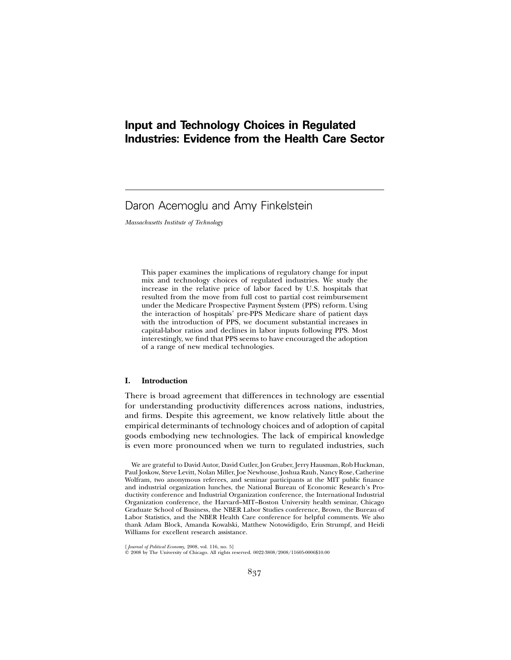# **Input and Technology Choices in Regulated Industries: Evidence from the Health Care Sector**

# Daron Acemoglu and Amy Finkelstein

*Massachusetts Institute of Technology*

This paper examines the implications of regulatory change for input mix and technology choices of regulated industries. We study the increase in the relative price of labor faced by U.S. hospitals that resulted from the move from full cost to partial cost reimbursement under the Medicare Prospective Payment System (PPS) reform. Using the interaction of hospitals' pre-PPS Medicare share of patient days with the introduction of PPS, we document substantial increases in capital-labor ratios and declines in labor inputs following PPS. Most interestingly, we find that PPS seems to have encouraged the adoption of a range of new medical technologies.

# **I. Introduction**

There is broad agreement that differences in technology are essential for understanding productivity differences across nations, industries, and firms. Despite this agreement, we know relatively little about the empirical determinants of technology choices and of adoption of capital goods embodying new technologies. The lack of empirical knowledge is even more pronounced when we turn to regulated industries, such

We are grateful to David Autor, David Cutler, Jon Gruber, Jerry Hausman, Rob Huckman, Paul Joskow, Steve Levitt, Nolan Miller, Joe Newhouse, Joshua Rauh, Nancy Rose, Catherine Wolfram, two anonymous referees, and seminar participants at the MIT public finance and industrial organization lunches, the National Bureau of Economic Research's Productivity conference and Industrial Organization conference, the International Industrial Organization conference, the Harvard–MIT–Boston University health seminar, Chicago Graduate School of Business, the NBER Labor Studies conference, Brown, the Bureau of Labor Statistics, and the NBER Health Care conference for helpful comments. We also thank Adam Block, Amanda Kowalski, Matthew Notowidigdo, Erin Strumpf, and Heidi Williams for excellent research assistance.

<sup>[</sup> *Journal of Political Economy,* 2008, vol. 116, no. 5] 2008 by The University of Chicago. All rights reserved. 0022-3808/2008/11605-0006\$10.00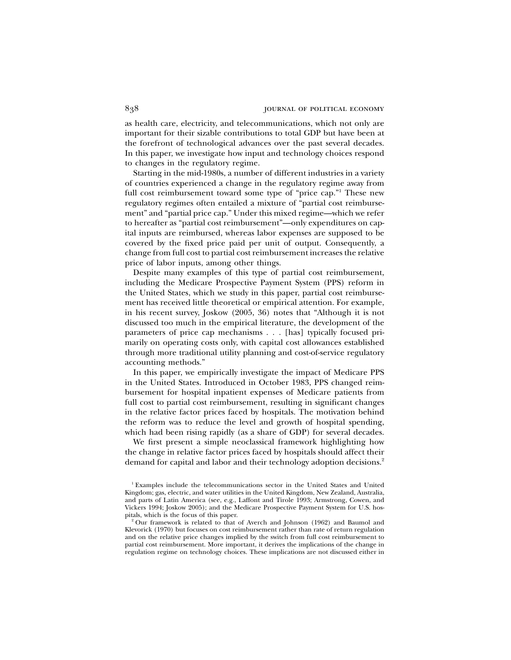as health care, electricity, and telecommunications, which not only are important for their sizable contributions to total GDP but have been at the forefront of technological advances over the past several decades. In this paper, we investigate how input and technology choices respond to changes in the regulatory regime.

Starting in the mid-1980s, a number of different industries in a variety of countries experienced a change in the regulatory regime away from full cost reimbursement toward some type of "price cap."<sup>1</sup> These new regulatory regimes often entailed a mixture of "partial cost reimbursement" and "partial price cap." Under this mixed regime—which we refer to hereafter as "partial cost reimbursement"—only expenditures on capital inputs are reimbursed, whereas labor expenses are supposed to be covered by the fixed price paid per unit of output. Consequently, a change from full cost to partial cost reimbursement increases the relative price of labor inputs, among other things.

Despite many examples of this type of partial cost reimbursement, including the Medicare Prospective Payment System (PPS) reform in the United States, which we study in this paper, partial cost reimbursement has received little theoretical or empirical attention. For example, in his recent survey, Joskow (2005, 36) notes that "Although it is not discussed too much in the empirical literature, the development of the parameters of price cap mechanisms . . . [has] typically focused primarily on operating costs only, with capital cost allowances established through more traditional utility planning and cost-of-service regulatory accounting methods."

In this paper, we empirically investigate the impact of Medicare PPS in the United States. Introduced in October 1983, PPS changed reimbursement for hospital inpatient expenses of Medicare patients from full cost to partial cost reimbursement, resulting in significant changes in the relative factor prices faced by hospitals. The motivation behind the reform was to reduce the level and growth of hospital spending, which had been rising rapidly (as a share of GDP) for several decades.

We first present a simple neoclassical framework highlighting how the change in relative factor prices faced by hospitals should affect their demand for capital and labor and their technology adoption decisions.<sup>2</sup>

<sup>1</sup> Examples include the telecommunications sector in the United States and United Kingdom; gas, electric, and water utilities in the United Kingdom, New Zealand, Australia, and parts of Latin America (see, e.g., Laffont and Tirole 1993; Armstrong, Cowen, and Vickers 1994; Joskow 2005); and the Medicare Prospective Payment System for U.S. hospitals, which is the focus of this paper.

<sup>&</sup>lt;sup>2</sup> Our framework is related to that of Averch and Johnson (1962) and Baumol and Klevorick (1970) but focuses on cost reimbursement rather than rate of return regulation and on the relative price changes implied by the switch from full cost reimbursement to partial cost reimbursement. More important, it derives the implications of the change in regulation regime on technology choices. These implications are not discussed either in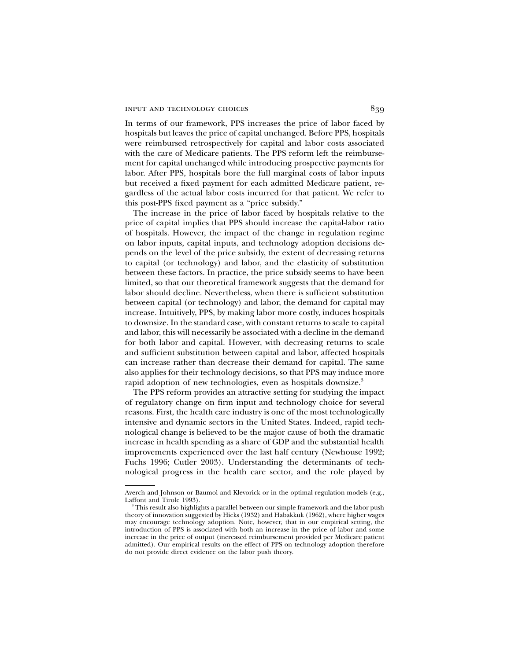#### INPUT AND TECHNOLOGY CHOICES 839

In terms of our framework, PPS increases the price of labor faced by hospitals but leaves the price of capital unchanged. Before PPS, hospitals were reimbursed retrospectively for capital and labor costs associated with the care of Medicare patients. The PPS reform left the reimbursement for capital unchanged while introducing prospective payments for labor. After PPS, hospitals bore the full marginal costs of labor inputs but received a fixed payment for each admitted Medicare patient, regardless of the actual labor costs incurred for that patient. We refer to this post-PPS fixed payment as a "price subsidy."

The increase in the price of labor faced by hospitals relative to the price of capital implies that PPS should increase the capital-labor ratio of hospitals. However, the impact of the change in regulation regime on labor inputs, capital inputs, and technology adoption decisions depends on the level of the price subsidy, the extent of decreasing returns to capital (or technology) and labor, and the elasticity of substitution between these factors. In practice, the price subsidy seems to have been limited, so that our theoretical framework suggests that the demand for labor should decline. Nevertheless, when there is sufficient substitution between capital (or technology) and labor, the demand for capital may increase. Intuitively, PPS, by making labor more costly, induces hospitals to downsize. In the standard case, with constant returns to scale to capital and labor, this will necessarily be associated with a decline in the demand for both labor and capital. However, with decreasing returns to scale and sufficient substitution between capital and labor, affected hospitals can increase rather than decrease their demand for capital. The same also applies for their technology decisions, so that PPS may induce more rapid adoption of new technologies, even as hospitals downsize.<sup>3</sup>

The PPS reform provides an attractive setting for studying the impact of regulatory change on firm input and technology choice for several reasons. First, the health care industry is one of the most technologically intensive and dynamic sectors in the United States. Indeed, rapid technological change is believed to be the major cause of both the dramatic increase in health spending as a share of GDP and the substantial health improvements experienced over the last half century (Newhouse 1992; Fuchs 1996; Cutler 2003). Understanding the determinants of technological progress in the health care sector, and the role played by

Averch and Johnson or Baumol and Klevorick or in the optimal regulation models (e.g., Laffont and Tirole 1993).

 $3$  This result also highlights a parallel between our simple framework and the labor push theory of innovation suggested by Hicks (1932) and Habakkuk (1962), where higher wages may encourage technology adoption. Note, however, that in our empirical setting, the introduction of PPS is associated with both an increase in the price of labor and some increase in the price of output (increased reimbursement provided per Medicare patient admitted). Our empirical results on the effect of PPS on technology adoption therefore do not provide direct evidence on the labor push theory.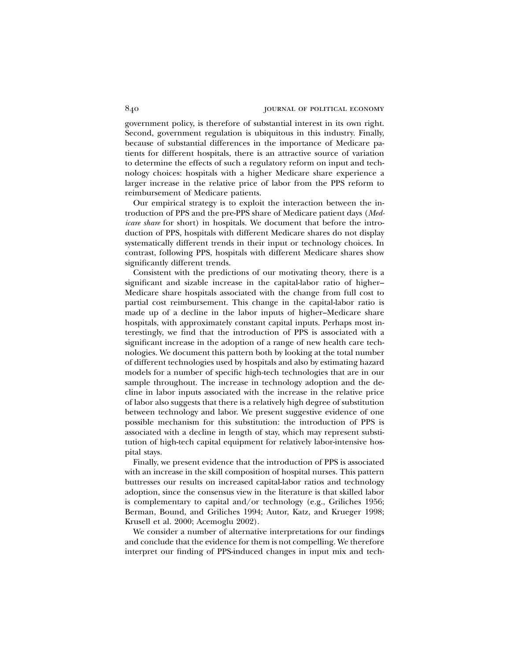government policy, is therefore of substantial interest in its own right. Second, government regulation is ubiquitous in this industry. Finally, because of substantial differences in the importance of Medicare patients for different hospitals, there is an attractive source of variation to determine the effects of such a regulatory reform on input and technology choices: hospitals with a higher Medicare share experience a larger increase in the relative price of labor from the PPS reform to reimbursement of Medicare patients.

Our empirical strategy is to exploit the interaction between the introduction of PPS and the pre-PPS share of Medicare patient days (*Medicare share* for short) in hospitals. We document that before the introduction of PPS, hospitals with different Medicare shares do not display systematically different trends in their input or technology choices. In contrast, following PPS, hospitals with different Medicare shares show significantly different trends.

Consistent with the predictions of our motivating theory, there is a significant and sizable increase in the capital-labor ratio of higher– Medicare share hospitals associated with the change from full cost to partial cost reimbursement. This change in the capital-labor ratio is made up of a decline in the labor inputs of higher–Medicare share hospitals, with approximately constant capital inputs. Perhaps most interestingly, we find that the introduction of PPS is associated with a significant increase in the adoption of a range of new health care technologies. We document this pattern both by looking at the total number of different technologies used by hospitals and also by estimating hazard models for a number of specific high-tech technologies that are in our sample throughout. The increase in technology adoption and the decline in labor inputs associated with the increase in the relative price of labor also suggests that there is a relatively high degree of substitution between technology and labor. We present suggestive evidence of one possible mechanism for this substitution: the introduction of PPS is associated with a decline in length of stay, which may represent substitution of high-tech capital equipment for relatively labor-intensive hospital stays.

Finally, we present evidence that the introduction of PPS is associated with an increase in the skill composition of hospital nurses. This pattern buttresses our results on increased capital-labor ratios and technology adoption, since the consensus view in the literature is that skilled labor is complementary to capital and/or technology (e.g., Griliches 1956; Berman, Bound, and Griliches 1994; Autor, Katz, and Krueger 1998; Krusell et al. 2000; Acemoglu 2002).

We consider a number of alternative interpretations for our findings and conclude that the evidence for them is not compelling. We therefore interpret our finding of PPS-induced changes in input mix and tech-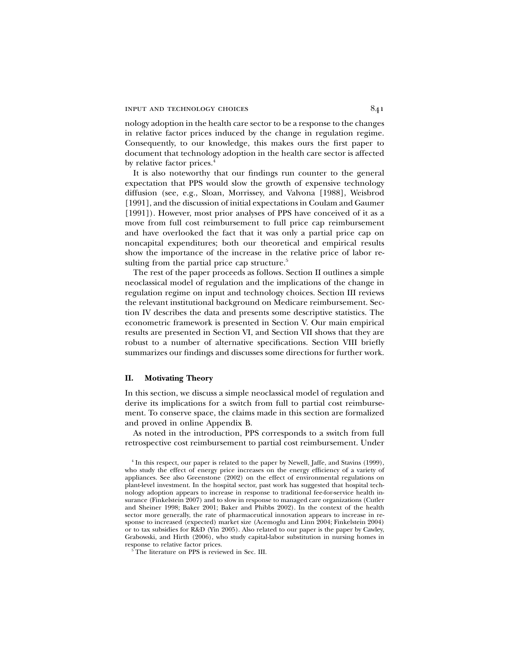nology adoption in the health care sector to be a response to the changes in relative factor prices induced by the change in regulation regime. Consequently, to our knowledge, this makes ours the first paper to document that technology adoption in the health care sector is affected by relative factor prices.<sup>4</sup>

It is also noteworthy that our findings run counter to the general expectation that PPS would slow the growth of expensive technology diffusion (see, e.g., Sloan, Morrissey, and Valvona [1988], Weisbrod [1991], and the discussion of initial expectations in Coulam and Gaumer [1991]). However, most prior analyses of PPS have conceived of it as a move from full cost reimbursement to full price cap reimbursement and have overlooked the fact that it was only a partial price cap on noncapital expenditures; both our theoretical and empirical results show the importance of the increase in the relative price of labor resulting from the partial price cap structure.<sup>5</sup>

The rest of the paper proceeds as follows. Section II outlines a simple neoclassical model of regulation and the implications of the change in regulation regime on input and technology choices. Section III reviews the relevant institutional background on Medicare reimbursement. Section IV describes the data and presents some descriptive statistics. The econometric framework is presented in Section V. Our main empirical results are presented in Section VI, and Section VII shows that they are robust to a number of alternative specifications. Section VIII briefly summarizes our findings and discusses some directions for further work.

#### **II. Motivating Theory**

In this section, we discuss a simple neoclassical model of regulation and derive its implications for a switch from full to partial cost reimbursement. To conserve space, the claims made in this section are formalized and proved in online Appendix B.

As noted in the introduction, PPS corresponds to a switch from full retrospective cost reimbursement to partial cost reimbursement. Under

<sup>4</sup> In this respect, our paper is related to the paper by Newell, Jaffe, and Stavins (1999), who study the effect of energy price increases on the energy efficiency of a variety of appliances. See also Greenstone (2002) on the effect of environmental regulations on plant-level investment. In the hospital sector, past work has suggested that hospital technology adoption appears to increase in response to traditional fee-for-service health insurance (Finkelstein 2007) and to slow in response to managed care organizations (Cutler and Sheiner 1998; Baker 2001; Baker and Phibbs 2002). In the context of the health sector more generally, the rate of pharmaceutical innovation appears to increase in response to increased (expected) market size (Acemoglu and Linn 2004; Finkelstein 2004) or to tax subsidies for R&D (Yin 2005). Also related to our paper is the paper by Cawley, Grabowski, and Hirth (2006), who study capital-labor substitution in nursing homes in response to relative factor prices.

<sup>5</sup> The literature on PPS is reviewed in Sec. III.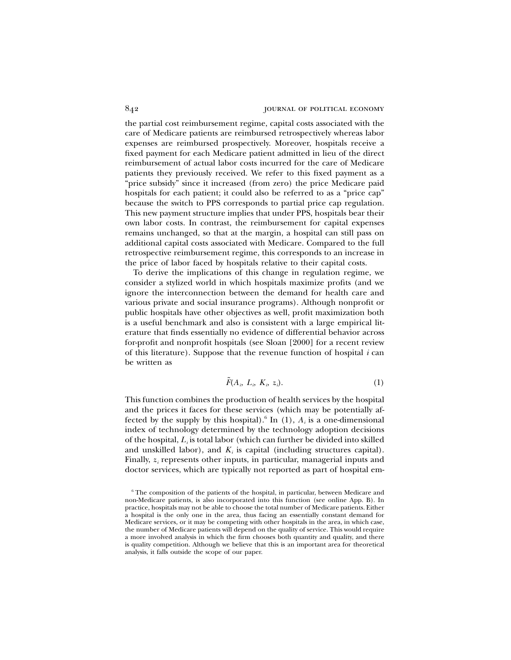the partial cost reimbursement regime, capital costs associated with the care of Medicare patients are reimbursed retrospectively whereas labor expenses are reimbursed prospectively. Moreover, hospitals receive a fixed payment for each Medicare patient admitted in lieu of the direct reimbursement of actual labor costs incurred for the care of Medicare patients they previously received. We refer to this fixed payment as a "price subsidy" since it increased (from zero) the price Medicare paid hospitals for each patient; it could also be referred to as a "price cap" because the switch to PPS corresponds to partial price cap regulation. This new payment structure implies that under PPS, hospitals bear their own labor costs. In contrast, the reimbursement for capital expenses remains unchanged, so that at the margin, a hospital can still pass on additional capital costs associated with Medicare. Compared to the full retrospective reimbursement regime, this corresponds to an increase in the price of labor faced by hospitals relative to their capital costs.

To derive the implications of this change in regulation regime, we consider a stylized world in which hospitals maximize profits (and we ignore the interconnection between the demand for health care and various private and social insurance programs). Although nonprofit or public hospitals have other objectives as well, profit maximization both is a useful benchmark and also is consistent with a large empirical literature that finds essentially no evidence of differential behavior across for-profit and nonprofit hospitals (see Sloan [2000] for a recent review of this literature). Suppose that the revenue function of hospital *i* can be written as

$$
\tilde{F}(A_i, L_i, K_i, z_i). \tag{1}
$$

This function combines the production of health services by the hospital and the prices it faces for these services (which may be potentially affected by the supply by this hospital).<sup>6</sup> In (1),  $A_i$  is a one-dimensional index of technology determined by the technology adoption decisions of the hospital,  $L_i$  is total labor (which can further be divided into skilled and unskilled labor), and  $K<sub>i</sub>$  is capital (including structures capital). Finally,  $z<sub>i</sub>$  represents other inputs, in particular, managerial inputs and doctor services, which are typically not reported as part of hospital em-

<sup>6</sup> The composition of the patients of the hospital, in particular, between Medicare and non-Medicare patients, is also incorporated into this function (see online App. B). In practice, hospitals may not be able to choose the total number of Medicare patients. Either a hospital is the only one in the area, thus facing an essentially constant demand for Medicare services, or it may be competing with other hospitals in the area, in which case, the number of Medicare patients will depend on the quality of service. This would require a more involved analysis in which the firm chooses both quantity and quality, and there is quality competition. Although we believe that this is an important area for theoretical analysis, it falls outside the scope of our paper.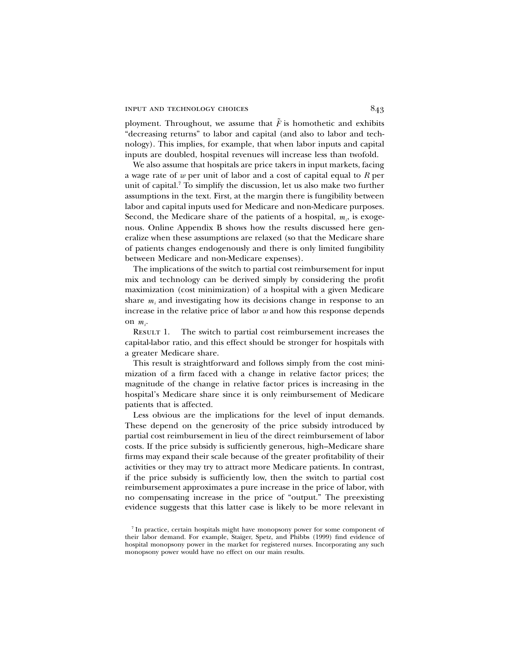## INPUT AND TECHNOLOGY CHOICES 843

ployment. Throughout, we assume that  $\tilde{F}$  is homothetic and exhibits "decreasing returns" to labor and capital (and also to labor and technology). This implies, for example, that when labor inputs and capital inputs are doubled, hospital revenues will increase less than twofold.

We also assume that hospitals are price takers in input markets, facing a wage rate of *w* per unit of labor and a cost of capital equal to *R* per unit of capital.<sup>7</sup> To simplify the discussion, let us also make two further assumptions in the text. First, at the margin there is fungibility between labor and capital inputs used for Medicare and non-Medicare purposes. Second, the Medicare share of the patients of a hospital,  $m_i$ , is exogenous. Online Appendix B shows how the results discussed here generalize when these assumptions are relaxed (so that the Medicare share of patients changes endogenously and there is only limited fungibility between Medicare and non-Medicare expenses).

The implications of the switch to partial cost reimbursement for input mix and technology can be derived simply by considering the profit maximization (cost minimization) of a hospital with a given Medicare share  $m_i$ , and investigating how its decisions change in response to an increase in the relative price of labor *w* and how this response depends on  $m_i$ .

RESULT 1. The switch to partial cost reimbursement increases the capital-labor ratio, and this effect should be stronger for hospitals with a greater Medicare share.

This result is straightforward and follows simply from the cost minimization of a firm faced with a change in relative factor prices; the magnitude of the change in relative factor prices is increasing in the hospital's Medicare share since it is only reimbursement of Medicare patients that is affected.

Less obvious are the implications for the level of input demands. These depend on the generosity of the price subsidy introduced by partial cost reimbursement in lieu of the direct reimbursement of labor costs. If the price subsidy is sufficiently generous, high–Medicare share firms may expand their scale because of the greater profitability of their activities or they may try to attract more Medicare patients. In contrast, if the price subsidy is sufficiently low, then the switch to partial cost reimbursement approximates a pure increase in the price of labor, with no compensating increase in the price of "output." The preexisting evidence suggests that this latter case is likely to be more relevant in

<sup>7</sup> In practice, certain hospitals might have monopsony power for some component of their labor demand. For example, Staiger, Spetz, and Phibbs (1999) find evidence of hospital monopsony power in the market for registered nurses. Incorporating any such monopsony power would have no effect on our main results.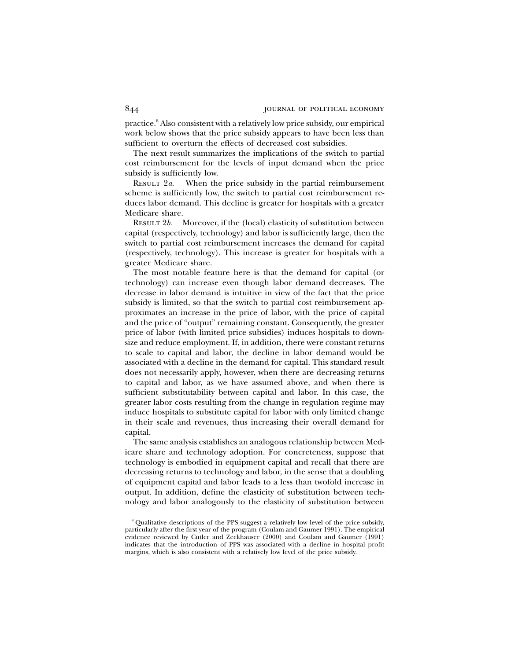practice.<sup>8</sup> Also consistent with a relatively low price subsidy, our empirical work below shows that the price subsidy appears to have been less than sufficient to overturn the effects of decreased cost subsidies.

The next result summarizes the implications of the switch to partial cost reimbursement for the levels of input demand when the price subsidy is sufficiently low.

RESULT 2*a*. When the price subsidy in the partial reimbursement scheme is sufficiently low, the switch to partial cost reimbursement reduces labor demand. This decline is greater for hospitals with a greater Medicare share.

RESULT 2*b*. Moreover, if the (local) elasticity of substitution between capital (respectively, technology) and labor is sufficiently large, then the switch to partial cost reimbursement increases the demand for capital (respectively, technology). This increase is greater for hospitals with a greater Medicare share.

The most notable feature here is that the demand for capital (or technology) can increase even though labor demand decreases. The decrease in labor demand is intuitive in view of the fact that the price subsidy is limited, so that the switch to partial cost reimbursement approximates an increase in the price of labor, with the price of capital and the price of "output" remaining constant. Consequently, the greater price of labor (with limited price subsidies) induces hospitals to downsize and reduce employment. If, in addition, there were constant returns to scale to capital and labor, the decline in labor demand would be associated with a decline in the demand for capital. This standard result does not necessarily apply, however, when there are decreasing returns to capital and labor, as we have assumed above, and when there is sufficient substitutability between capital and labor. In this case, the greater labor costs resulting from the change in regulation regime may induce hospitals to substitute capital for labor with only limited change in their scale and revenues, thus increasing their overall demand for capital.

The same analysis establishes an analogous relationship between Medicare share and technology adoption. For concreteness, suppose that technology is embodied in equipment capital and recall that there are decreasing returns to technology and labor, in the sense that a doubling of equipment capital and labor leads to a less than twofold increase in output. In addition, define the elasticity of substitution between technology and labor analogously to the elasticity of substitution between

<sup>8</sup> Qualitative descriptions of the PPS suggest a relatively low level of the price subsidy, particularly after the first year of the program (Coulam and Gaumer 1991). The empirical evidence reviewed by Cutler and Zeckhauser (2000) and Coulam and Gaumer (1991) indicates that the introduction of PPS was associated with a decline in hospital profit margins, which is also consistent with a relatively low level of the price subsidy.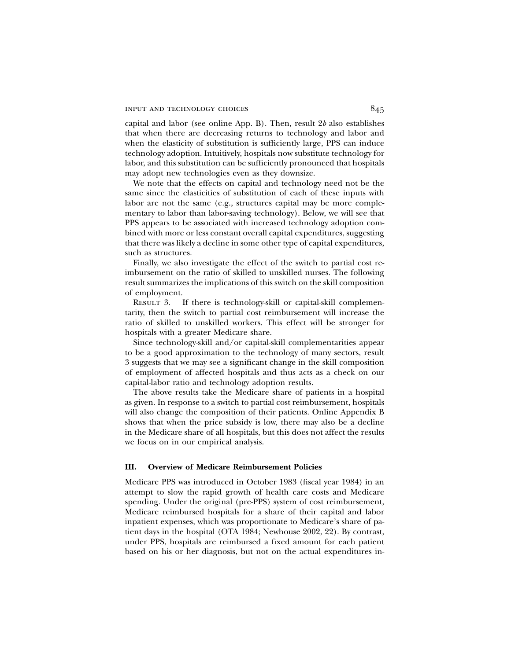capital and labor (see online App. B). Then, result 2*b* also establishes that when there are decreasing returns to technology and labor and when the elasticity of substitution is sufficiently large, PPS can induce technology adoption. Intuitively, hospitals now substitute technology for labor, and this substitution can be sufficiently pronounced that hospitals may adopt new technologies even as they downsize.

We note that the effects on capital and technology need not be the same since the elasticities of substitution of each of these inputs with labor are not the same (e.g., structures capital may be more complementary to labor than labor-saving technology). Below, we will see that PPS appears to be associated with increased technology adoption combined with more or less constant overall capital expenditures, suggesting that there was likely a decline in some other type of capital expenditures, such as structures.

Finally, we also investigate the effect of the switch to partial cost reimbursement on the ratio of skilled to unskilled nurses. The following result summarizes the implications of this switch on the skill composition of employment.

RESULT 3. If there is technology-skill or capital-skill complementarity, then the switch to partial cost reimbursement will increase the ratio of skilled to unskilled workers. This effect will be stronger for hospitals with a greater Medicare share.

Since technology-skill and/or capital-skill complementarities appear to be a good approximation to the technology of many sectors, result 3 suggests that we may see a significant change in the skill composition of employment of affected hospitals and thus acts as a check on our capital-labor ratio and technology adoption results.

The above results take the Medicare share of patients in a hospital as given. In response to a switch to partial cost reimbursement, hospitals will also change the composition of their patients. Online Appendix B shows that when the price subsidy is low, there may also be a decline in the Medicare share of all hospitals, but this does not affect the results we focus on in our empirical analysis.

#### **III. Overview of Medicare Reimbursement Policies**

Medicare PPS was introduced in October 1983 (fiscal year 1984) in an attempt to slow the rapid growth of health care costs and Medicare spending. Under the original (pre-PPS) system of cost reimbursement, Medicare reimbursed hospitals for a share of their capital and labor inpatient expenses, which was proportionate to Medicare's share of patient days in the hospital (OTA 1984; Newhouse 2002, 22). By contrast, under PPS, hospitals are reimbursed a fixed amount for each patient based on his or her diagnosis, but not on the actual expenditures in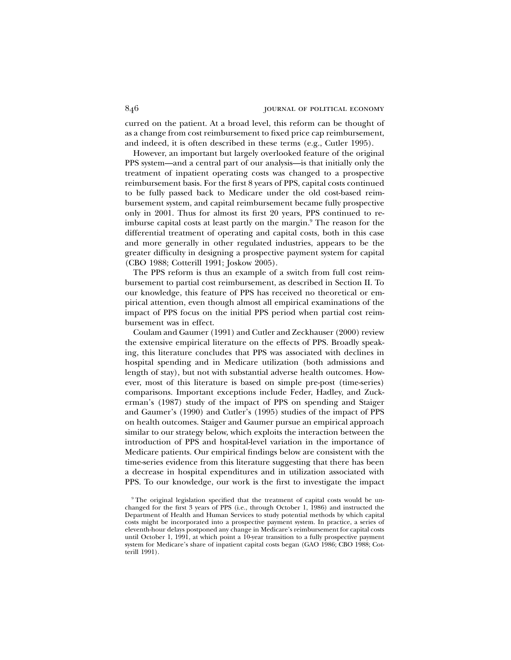curred on the patient. At a broad level, this reform can be thought of as a change from cost reimbursement to fixed price cap reimbursement, and indeed, it is often described in these terms (e.g., Cutler 1995).

However, an important but largely overlooked feature of the original PPS system—and a central part of our analysis—is that initially only the treatment of inpatient operating costs was changed to a prospective reimbursement basis. For the first 8 years of PPS, capital costs continued to be fully passed back to Medicare under the old cost-based reimbursement system, and capital reimbursement became fully prospective only in 2001. Thus for almost its first 20 years, PPS continued to reimburse capital costs at least partly on the margin.<sup>9</sup> The reason for the differential treatment of operating and capital costs, both in this case and more generally in other regulated industries, appears to be the greater difficulty in designing a prospective payment system for capital (CBO 1988; Cotterill 1991; Joskow 2005).

The PPS reform is thus an example of a switch from full cost reimbursement to partial cost reimbursement, as described in Section II. To our knowledge, this feature of PPS has received no theoretical or empirical attention, even though almost all empirical examinations of the impact of PPS focus on the initial PPS period when partial cost reimbursement was in effect.

Coulam and Gaumer (1991) and Cutler and Zeckhauser (2000) review the extensive empirical literature on the effects of PPS. Broadly speaking, this literature concludes that PPS was associated with declines in hospital spending and in Medicare utilization (both admissions and length of stay), but not with substantial adverse health outcomes. However, most of this literature is based on simple pre-post (time-series) comparisons. Important exceptions include Feder, Hadley, and Zuckerman's (1987) study of the impact of PPS on spending and Staiger and Gaumer's (1990) and Cutler's (1995) studies of the impact of PPS on health outcomes. Staiger and Gaumer pursue an empirical approach similar to our strategy below, which exploits the interaction between the introduction of PPS and hospital-level variation in the importance of Medicare patients. Our empirical findings below are consistent with the time-series evidence from this literature suggesting that there has been a decrease in hospital expenditures and in utilization associated with PPS. To our knowledge, our work is the first to investigate the impact

<sup>&</sup>lt;sup>9</sup> The original legislation specified that the treatment of capital costs would be unchanged for the first 3 years of PPS (i.e., through October 1, 1986) and instructed the Department of Health and Human Services to study potential methods by which capital costs might be incorporated into a prospective payment system. In practice, a series of eleventh-hour delays postponed any change in Medicare's reimbursement for capital costs until October 1, 1991, at which point a 10-year transition to a fully prospective payment system for Medicare's share of inpatient capital costs began (GAO 1986; CBO 1988; Cotterill 1991).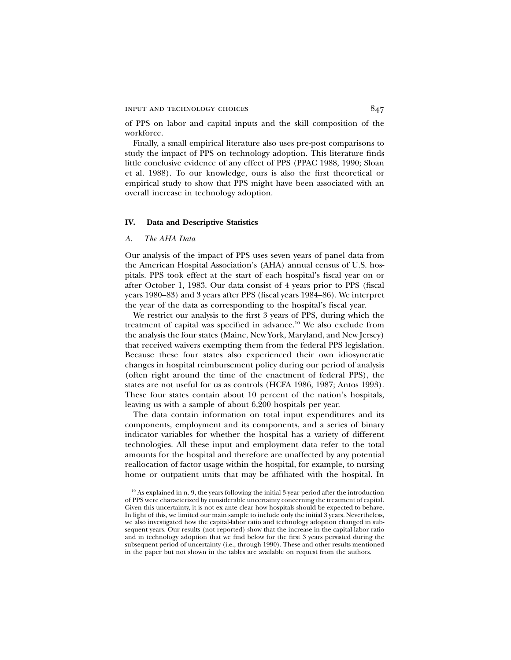of PPS on labor and capital inputs and the skill composition of the workforce.

Finally, a small empirical literature also uses pre-post comparisons to study the impact of PPS on technology adoption. This literature finds little conclusive evidence of any effect of PPS (PPAC 1988, 1990; Sloan et al. 1988). To our knowledge, ours is also the first theoretical or empirical study to show that PPS might have been associated with an overall increase in technology adoption.

#### **IV. Data and Descriptive Statistics**

### *A. The AHA Data*

Our analysis of the impact of PPS uses seven years of panel data from the American Hospital Association's (AHA) annual census of U.S. hospitals. PPS took effect at the start of each hospital's fiscal year on or after October 1, 1983. Our data consist of 4 years prior to PPS (fiscal years 1980–83) and 3 years after PPS (fiscal years 1984–86). We interpret the year of the data as corresponding to the hospital's fiscal year.

We restrict our analysis to the first 3 years of PPS, during which the treatment of capital was specified in advance.<sup>10</sup> We also exclude from the analysis the four states (Maine, New York, Maryland, and New Jersey) that received waivers exempting them from the federal PPS legislation. Because these four states also experienced their own idiosyncratic changes in hospital reimbursement policy during our period of analysis (often right around the time of the enactment of federal PPS), the states are not useful for us as controls (HCFA 1986, 1987; Antos 1993). These four states contain about 10 percent of the nation's hospitals, leaving us with a sample of about 6,200 hospitals per year.

The data contain information on total input expenditures and its components, employment and its components, and a series of binary indicator variables for whether the hospital has a variety of different technologies. All these input and employment data refer to the total amounts for the hospital and therefore are unaffected by any potential reallocation of factor usage within the hospital, for example, to nursing home or outpatient units that may be affiliated with the hospital. In

 $10$  As explained in n. 9, the years following the initial 3-year period after the introduction of PPS were characterized by considerable uncertainty concerning the treatment of capital. Given this uncertainty, it is not ex ante clear how hospitals should be expected to behave. In light of this, we limited our main sample to include only the initial 3 years. Nevertheless, we also investigated how the capital-labor ratio and technology adoption changed in subsequent years. Our results (not reported) show that the increase in the capital-labor ratio and in technology adoption that we find below for the first 3 years persisted during the subsequent period of uncertainty (i.e., through 1990). These and other results mentioned in the paper but not shown in the tables are available on request from the authors.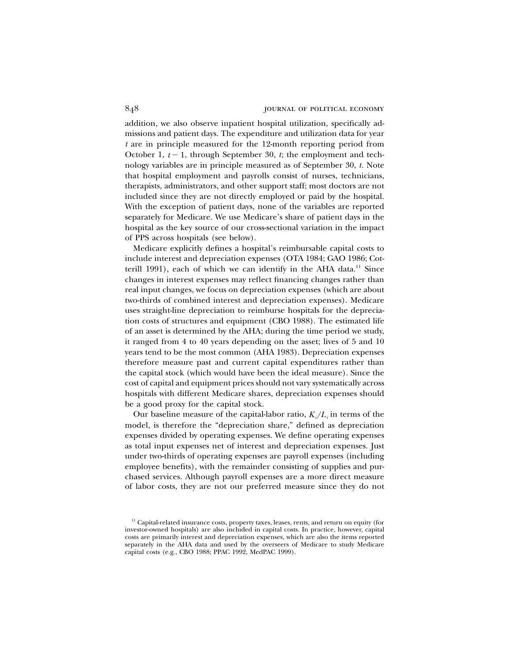addition, we also observe inpatient hospital utilization, specifically admissions and patient days. The expenditure and utilization data for year *t* are in principle measured for the 12-month reporting period from October 1,  $t - 1$ , through September 30,  $t$ ; the employment and technology variables are in principle measured as of September 30, *t*. Note that hospital employment and payrolls consist of nurses, technicians, therapists, administrators, and other support staff; most doctors are not included since they are not directly employed or paid by the hospital. With the exception of patient days, none of the variables are reported separately for Medicare. We use Medicare's share of patient days in the hospital as the key source of our cross-sectional variation in the impact of PPS across hospitals (see below).

Medicare explicitly defines a hospital's reimbursable capital costs to include interest and depreciation expenses (OTA 1984; GAO 1986; Cotterill 1991), each of which we can identify in the AHA data.<sup>11</sup> Since changes in interest expenses may reflect financing changes rather than real input changes, we focus on depreciation expenses (which are about two-thirds of combined interest and depreciation expenses). Medicare uses straight-line depreciation to reimburse hospitals for the depreciation costs of structures and equipment (CBO 1988). The estimated life of an asset is determined by the AHA; during the time period we study, it ranged from 4 to 40 years depending on the asset; lives of 5 and 10 years tend to be the most common (AHA 1983). Depreciation expenses therefore measure past and current capital expenditures rather than the capital stock (which would have been the ideal measure). Since the cost of capital and equipment prices should not vary systematically across hospitals with different Medicare shares, depreciation expenses should be a good proxy for the capital stock.

Our baseline measure of the capital-labor ratio,  $K_i / L_i$  in terms of the model, is therefore the "depreciation share," defined as depreciation expenses divided by operating expenses. We define operating expenses as total input expenses net of interest and depreciation expenses. Just under two-thirds of operating expenses are payroll expenses (including employee benefits), with the remainder consisting of supplies and purchased services. Although payroll expenses are a more direct measure of labor costs, they are not our preferred measure since they do not

<sup>&</sup>lt;sup>11</sup> Capital-related insurance costs, property taxes, leases, rents, and return on equity (for investor-owned hospitals) are also included in capital costs. In practice, however, capital costs are primarily interest and depreciation expenses, which are also the items reported separately in the AHA data and used by the overseers of Medicare to study Medicare capital costs (e.g., CBO 1988; PPAC 1992, MedPAC 1999).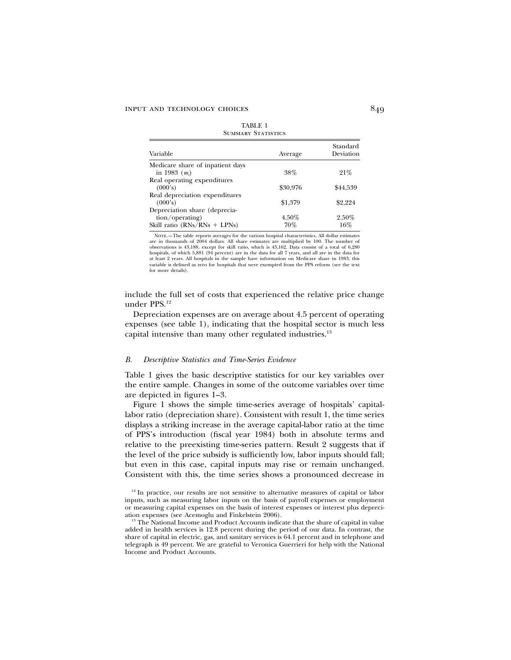TABLE 1 SUMMARY STATISTICS

| Variable                         | Average  | Standard<br>Deviation |
|----------------------------------|----------|-----------------------|
| Medicare share of inpatient days |          |                       |
| in 1983 $(m_i)$                  | 38%      | 21%                   |
| Real operating expenditures      |          |                       |
| (000's)                          | \$30,976 | \$44,539              |
| Real depreciation expenditures   |          |                       |
| (000's)                          | \$1,379  | \$2,224               |
| Depreciation share (deprecia-    |          |                       |
| tion/operating)                  | 4.50%    | $2.50\%$              |
| Skill ratio (RNs/RNs + LPNs)     | 70%      | $16\%$                |
|                                  |          |                       |

Norr...—The table reports averages for the various hospital characteristics. All dollar estimates<br>are in thousands of 2004 dollars. All share estimates are multiplied by 100. The number of<br>observations is 43,188, except fo hospitals, of which 5,881 (94 percent) are in the data for all 7 years, and all are in the data for at least 2 years. All hospitals in the sample have information on Medicare share in 1983; this variable is defined as zero for hospitals that were exempted from the PPS reform (see the text for more details).

include the full set of costs that experienced the relative price change under PPS.<sup>12</sup>

Depreciation expenses are on average about 4.5 percent of operating expenses (see table 1), indicating that the hospital sector is much less capital intensive than many other regulated industries.<sup>13</sup>

#### *B. Descriptive Statistics and Time-Series Evidence*

Table 1 gives the basic descriptive statistics for our key variables over the entire sample. Changes in some of the outcome variables over time are depicted in figures 1–3.

Figure 1 shows the simple time-series average of hospitals' capitallabor ratio (depreciation share). Consistent with result 1, the time series displays a striking increase in the average capital-labor ratio at the time of PPS's introduction (fiscal year 1984) both in absolute terms and relative to the preexisting time-series pattern. Result 2 suggests that if the level of the price subsidy is sufficiently low, labor inputs should fall; but even in this case, capital inputs may rise or remain unchanged. Consistent with this, the time series shows a pronounced decrease in

 $12$  In practice, our results are not sensitive to alternative measures of capital or labor inputs, such as measuring labor inputs on the basis of payroll expenses or employment or measuring capital expenses on the basis of interest expenses or interest plus depreciation expenses (see Acemoglu and Finkelstein 2006).

<sup>&</sup>lt;sup>13</sup> The National Income and Product Accounts indicate that the share of capital in value added in health services is 12.8 percent during the period of our data. In contrast, the share of capital in electric, gas, and sanitary services is 64.1 percent and in telephone and telegraph is 49 percent. We are grateful to Veronica Guerrieri for help with the National Income and Product Accounts.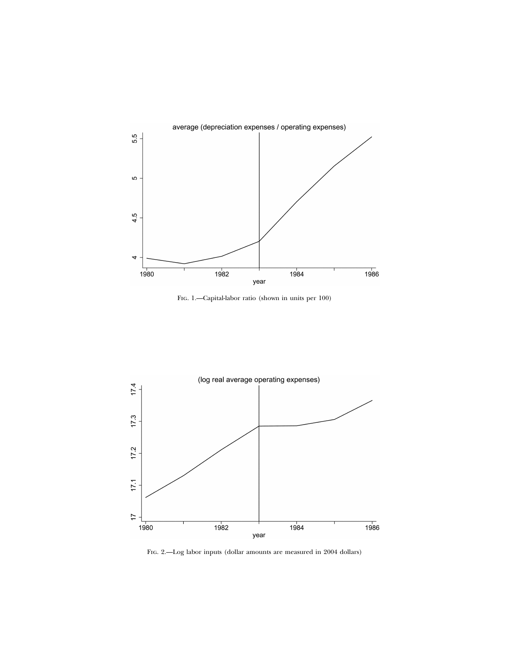

Fig. 1.—Capital-labor ratio (shown in units per 100)



Fig. 2.—Log labor inputs (dollar amounts are measured in 2004 dollars)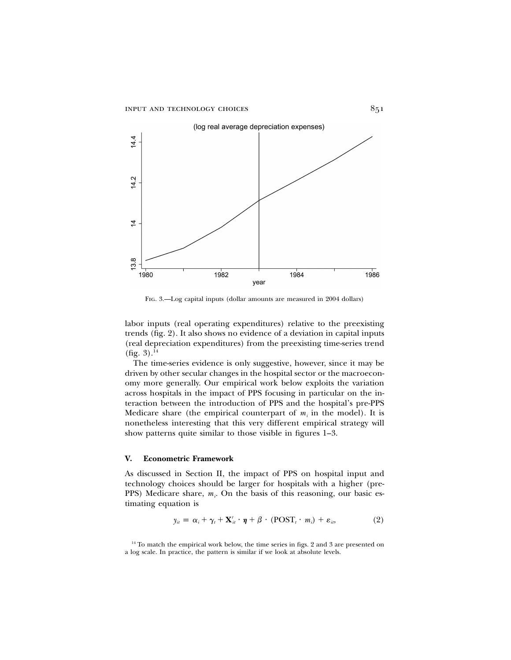

FIG. 3.—Log capital inputs (dollar amounts are measured in 2004 dollars)

labor inputs (real operating expenditures) relative to the preexisting trends (fig. 2). It also shows no evidence of a deviation in capital inputs (real depreciation expenditures) from the preexisting time-series trend  $(fig. 3).^{14}$ 

The time-series evidence is only suggestive, however, since it may be driven by other secular changes in the hospital sector or the macroeconomy more generally. Our empirical work below exploits the variation across hospitals in the impact of PPS focusing in particular on the interaction between the introduction of PPS and the hospital's pre-PPS Medicare share (the empirical counterpart of  $m_i$ , in the model). It is nonetheless interesting that this very different empirical strategy will show patterns quite similar to those visible in figures 1–3.

# **V. Econometric Framework**

As discussed in Section II, the impact of PPS on hospital input and technology choices should be larger for hospitals with a higher (pre-PPS) Medicare share,  $m_i$ . On the basis of this reasoning, our basic estimating equation is

$$
y_{it} = \alpha_i + \gamma_t + \mathbf{X}'_{it} \cdot \boldsymbol{\eta} + \beta \cdot (\text{POST}_t \cdot m_i) + \varepsilon_{it}, \tag{2}
$$

<sup>14</sup> To match the empirical work below, the time series in figs. 2 and 3 are presented on a log scale. In practice, the pattern is similar if we look at absolute levels.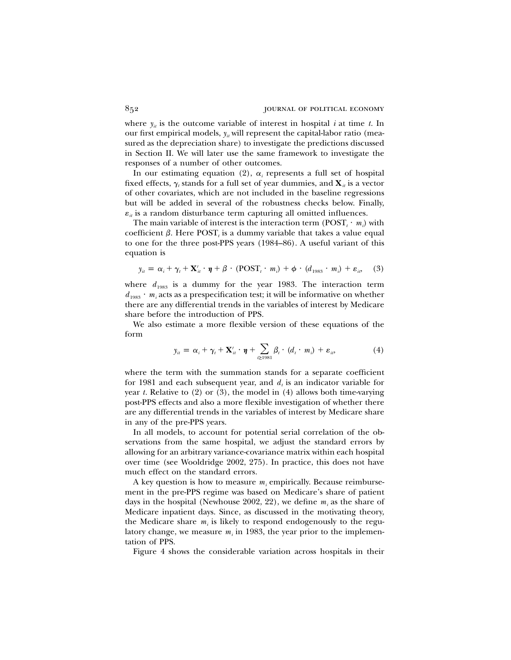where  $y_i$  is the outcome variable of interest in hospital *i* at time *t*. In our first empirical models,  $y_{it}$  will represent the capital-labor ratio (measured as the depreciation share) to investigate the predictions discussed in Section II. We will later use the same framework to investigate the responses of a number of other outcomes.

In our estimating equation (2),  $\alpha_i$  represents a full set of hospital fixed effects,  $\gamma$  stands for a full set of year dummies, and  $\mathbf{X}_i$  is a vector of other covariates, which are not included in the baseline regressions but will be added in several of the robustness checks below. Finally,  $\varepsilon_{it}$  is a random disturbance term capturing all omitted influences.

The main variable of interest is the interaction term ( $\text{POST}_t \cdot m_i$ ) with coefficient  $\beta$ . Here POST<sub>t</sub> is a dummy variable that takes a value equal to one for the three post-PPS years (1984–86). A useful variant of this equation is

$$
y_{ii} = \alpha_i + \gamma_t + \mathbf{X}'_{ii} \cdot \boldsymbol{\eta} + \boldsymbol{\beta} \cdot (\text{POST}_t \cdot m_i) + \boldsymbol{\phi} \cdot (d_{1983} \cdot m_i) + \varepsilon_{ii}, \quad (3)
$$

where  $d_{1983}$  is a dummy for the year 1983. The interaction term  $d_{1983} \cdot m_i$  acts as a prespecification test; it will be informative on whether there are any differential trends in the variables of interest by Medicare share before the introduction of PPS.

We also estimate a more flexible version of these equations of the form

$$
y_{it} = \alpha_i + \gamma_t + \mathbf{X}'_{it} \cdot \boldsymbol{\eta} + \sum_{\epsilon \ge 1981} \beta_t \cdot (d_t \cdot m_i) + \varepsilon_{it}, \tag{4}
$$

where the term with the summation stands for a separate coefficient for 1981 and each subsequent year, and  $d_i$  is an indicator variable for year *t*. Relative to (2) or (3), the model in (4) allows both time-varying post-PPS effects and also a more flexible investigation of whether there are any differential trends in the variables of interest by Medicare share in any of the pre-PPS years.

In all models, to account for potential serial correlation of the observations from the same hospital, we adjust the standard errors by allowing for an arbitrary variance-covariance matrix within each hospital over time (see Wooldridge 2002, 275). In practice, this does not have much effect on the standard errors.

A key question is how to measure  $m_i$  empirically. Because reimbursement in the pre-PPS regime was based on Medicare's share of patient days in the hospital (Newhouse 2002, 22), we define  $m_i$  as the share of Medicare inpatient days. Since, as discussed in the motivating theory, the Medicare share  $m_i$  is likely to respond endogenously to the regulatory change, we measure  $m_i$  in 1983, the year prior to the implementation of PPS.

Figure 4 shows the considerable variation across hospitals in their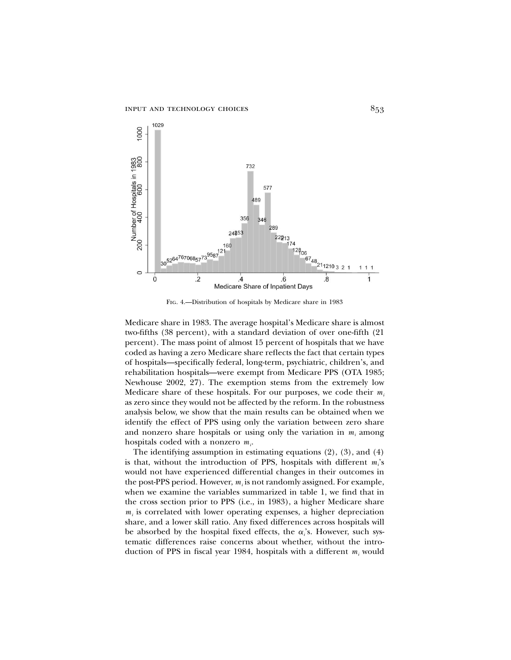

Fig. 4.—Distribution of hospitals by Medicare share in 1983

Medicare share in 1983. The average hospital's Medicare share is almost two-fifths (38 percent), with a standard deviation of over one-fifth (21 percent). The mass point of almost 15 percent of hospitals that we have coded as having a zero Medicare share reflects the fact that certain types of hospitals—specifically federal, long-term, psychiatric, children's, and rehabilitation hospitals—were exempt from Medicare PPS (OTA 1985; Newhouse 2002, 27). The exemption stems from the extremely low Medicare share of these hospitals. For our purposes, we code their  $m_i$ as zero since they would not be affected by the reform. In the robustness analysis below, we show that the main results can be obtained when we identify the effect of PPS using only the variation between zero share and nonzero share hospitals or using only the variation in  $m_i$  among hospitals coded with a nonzero  $m_i$ .

The identifying assumption in estimating equations (2), (3), and (4) is that, without the introduction of PPS, hospitals with different  $m_i$ 's would not have experienced differential changes in their outcomes in the post-PPS period. However,  $m<sub>i</sub>$  is not randomly assigned. For example, when we examine the variables summarized in table 1, we find that in the cross section prior to PPS (i.e., in 1983), a higher Medicare share  $m<sub>i</sub>$  is correlated with lower operating expenses, a higher depreciation share, and a lower skill ratio. Any fixed differences across hospitals will be absorbed by the hospital fixed effects, the  $\alpha_i$ 's. However, such systematic differences raise concerns about whether, without the introduction of PPS in fiscal year 1984, hospitals with a different  $m_i$  would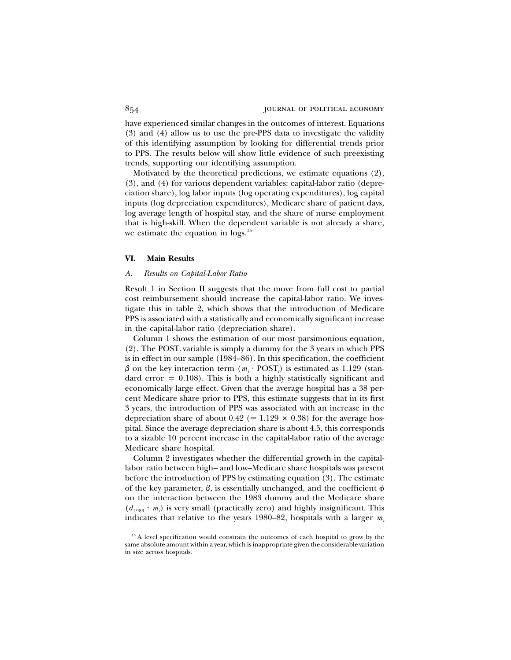have experienced similar changes in the outcomes of interest. Equations (3) and (4) allow us to use the pre-PPS data to investigate the validity of this identifying assumption by looking for differential trends prior to PPS. The results below will show little evidence of such preexisting trends, supporting our identifying assumption.

Motivated by the theoretical predictions, we estimate equations (2), (3), and (4) for various dependent variables: capital-labor ratio (depreciation share), log labor inputs (log operating expenditures), log capital inputs (log depreciation expenditures), Medicare share of patient days, log average length of hospital stay, and the share of nurse employment that is high-skill. When the dependent variable is not already a share, we estimate the equation in logs.<sup>15</sup>

### **VI. Main Results**

## *A. Results on Capital-Labor Ratio*

Result 1 in Section II suggests that the move from full cost to partial cost reimbursement should increase the capital-labor ratio. We investigate this in table 2, which shows that the introduction of Medicare PPS is associated with a statistically and economically significant increase in the capital-labor ratio (depreciation share).

Column 1 shows the estimation of our most parsimonious equation, (2). The  $POST_t$  variable is simply a dummy for the 3 years in which  $PPS$ is in effect in our sample (1984–86). In this specification, the coefficient  $\beta$  on the key interaction term  $(m_i \cdot POST)$  is estimated as 1.129 (standard error  $= 0.108$ ). This is both a highly statistically significant and economically large effect. Given that the average hospital has a 38 percent Medicare share prior to PPS, this estimate suggests that in its first 3 years, the introduction of PPS was associated with an increase in the depreciation share of about 0.42 ( $\simeq$  1.129  $\times$  0.38) for the average hospital. Since the average depreciation share is about 4.5, this corresponds to a sizable 10 percent increase in the capital-labor ratio of the average Medicare share hospital.

Column 2 investigates whether the differential growth in the capitallabor ratio between high– and low–Medicare share hospitals was present before the introduction of PPS by estimating equation (3). The estimate of the key parameter,  $\beta$ , is essentially unchanged, and the coefficient  $\phi$ on the interaction between the 1983 dummy and the Medicare share  $(d_{1983} \cdot m_i)$  is very small (practically zero) and highly insignificant. This indicates that relative to the years 1980–82, hospitals with a larger  $m_i$ 

<sup>&</sup>lt;sup>15</sup> A level specification would constrain the outcomes of each hospital to grow by the same absolute amount within a year, which is inappropriate given the considerable variation in size across hospitals.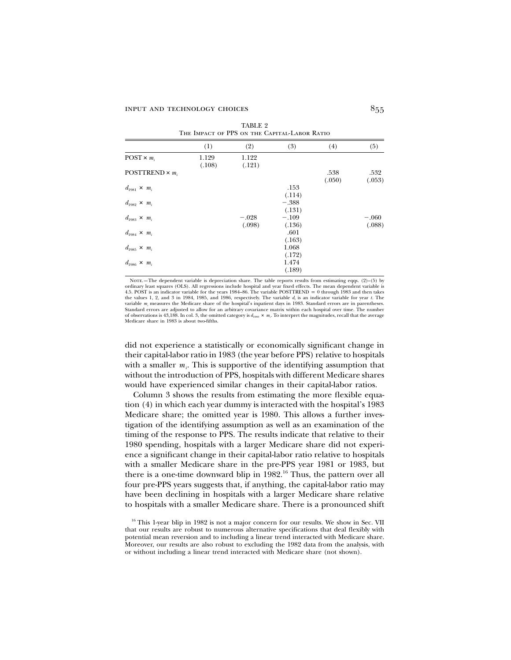TABLE 2 The Impact of PPS on the Capital-Labor Ratio

|                        | (1)    | (2)     | (3)     | (4)    | (5)     |
|------------------------|--------|---------|---------|--------|---------|
| $POST \times m_i$      | 1.129  | 1.122   |         |        |         |
|                        | (.108) | (.121)  |         |        |         |
| POSTTREND $\times m_i$ |        |         |         | .538   | .532    |
|                        |        |         |         | (.050) | (.053)  |
| $d_{1981} \times m_i$  |        |         | .153    |        |         |
|                        |        |         | (.114)  |        |         |
| $d_{1989} \times m_i$  |        |         | $-.388$ |        |         |
|                        |        |         | (.131)  |        |         |
| $d_{1983} \times m_i$  |        | $-.028$ | $-.109$ |        | $-.060$ |
|                        |        | (.098)  | (.136)  |        | (.088)  |
| $d_{1984} \times m_i$  |        |         | .601    |        |         |
|                        |        |         | (.163)  |        |         |
| $d_{1985} \times m_i$  |        |         | 1.068   |        |         |
|                        |        |         | (.172)  |        |         |
| $d_{1986} \times m_i$  |        |         | 1.474   |        |         |
|                        |        |         | (.189)  |        |         |

NOTE.—The dependent variable is depreciation share. The table reports results from estimating eqqs. (2)–(5) by ordinary least squares (OLS). All regressions include hospital and year fixed effects. The mean dependent variable is 4.5. POST is an indicator variable for the years 1984–86. The variable POSTTREND = 0 through 1983 and then takes<br>the values 1, 2, and 3 in 1984, 1985, and 1986, respectively. The variable *d*, is an indicator variable for Standard errors are adjusted to allow for an arbitrary covariance matrix within each hospital over time. The number of observations is 43,188. In col. 3, the omitted category is  $d_{1980} \times m_i$ . To interpret the magnitudes, recall that the average Medicare share in 1983 is about two-fifths.

did not experience a statistically or economically significant change in their capital-labor ratio in 1983 (the year before PPS) relative to hospitals with a smaller  $m_i$ . This is supportive of the identifying assumption that without the introduction of PPS, hospitals with different Medicare shares would have experienced similar changes in their capital-labor ratios.

Column 3 shows the results from estimating the more flexible equation (4) in which each year dummy is interacted with the hospital's 1983 Medicare share; the omitted year is 1980. This allows a further investigation of the identifying assumption as well as an examination of the timing of the response to PPS. The results indicate that relative to their 1980 spending, hospitals with a larger Medicare share did not experience a significant change in their capital-labor ratio relative to hospitals with a smaller Medicare share in the pre-PPS year 1981 or 1983, but there is a one-time downward blip in 1982.<sup>16</sup> Thus, the pattern over all four pre-PPS years suggests that, if anything, the capital-labor ratio may have been declining in hospitals with a larger Medicare share relative to hospitals with a smaller Medicare share. There is a pronounced shift

<sup>&</sup>lt;sup>16</sup> This 1-year blip in 1982 is not a major concern for our results. We show in Sec. VII that our results are robust to numerous alternative specifications that deal flexibly with potential mean reversion and to including a linear trend interacted with Medicare share. Moreover, our results are also robust to excluding the 1982 data from the analysis, with or without including a linear trend interacted with Medicare share (not shown).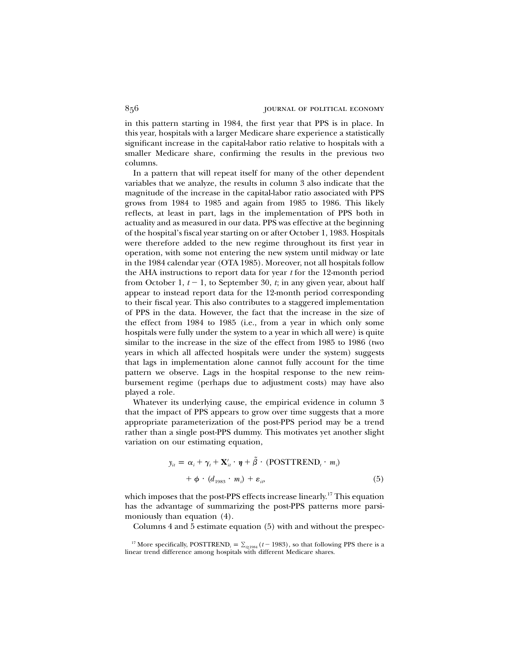in this pattern starting in 1984, the first year that PPS is in place. In this year, hospitals with a larger Medicare share experience a statistically significant increase in the capital-labor ratio relative to hospitals with a smaller Medicare share, confirming the results in the previous two columns.

In a pattern that will repeat itself for many of the other dependent variables that we analyze, the results in column 3 also indicate that the magnitude of the increase in the capital-labor ratio associated with PPS grows from 1984 to 1985 and again from 1985 to 1986. This likely reflects, at least in part, lags in the implementation of PPS both in actuality and as measured in our data. PPS was effective at the beginning of the hospital's fiscal year starting on or after October 1, 1983. Hospitals were therefore added to the new regime throughout its first year in operation, with some not entering the new system until midway or late in the 1984 calendar year (OTA 1985). Moreover, not all hospitals follow the AHA instructions to report data for year *t* for the 12-month period from October 1,  $t - 1$ , to September 30,  $t$ ; in any given year, about half appear to instead report data for the 12-month period corresponding to their fiscal year. This also contributes to a staggered implementation of PPS in the data. However, the fact that the increase in the size of the effect from 1984 to 1985 (i.e., from a year in which only some hospitals were fully under the system to a year in which all were) is quite similar to the increase in the size of the effect from 1985 to 1986 (two years in which all affected hospitals were under the system) suggests that lags in implementation alone cannot fully account for the time pattern we observe. Lags in the hospital response to the new reimbursement regime (perhaps due to adjustment costs) may have also played a role.

Whatever its underlying cause, the empirical evidence in column 3 that the impact of PPS appears to grow over time suggests that a more appropriate parameterization of the post-PPS period may be a trend rather than a single post-PPS dummy. This motivates yet another slight variation on our estimating equation,

$$
y_{ii} = \alpha_i + \gamma_t + \mathbf{X}'_{ii} \cdot \boldsymbol{\eta} + \tilde{\beta} \cdot (\text{POSTTERED}_t \cdot m_i)
$$
  
+  $\phi \cdot (d_{1983} \cdot m_i) + \varepsilon_{ii}$ , (5)

which imposes that the post-PPS effects increase linearly.<sup>17</sup> This equation has the advantage of summarizing the post-PPS patterns more parsimoniously than equation (4).

Columns 4 and 5 estimate equation (5) with and without the prespec-

<sup>17</sup> More specifically, POSTTREND<sub>t</sub> =  $\Sigma_{\epsilon \ge 1984}$  (*t* − 1983), so that following PPS there is a linear trend difference among hospitals with different Medicare shares.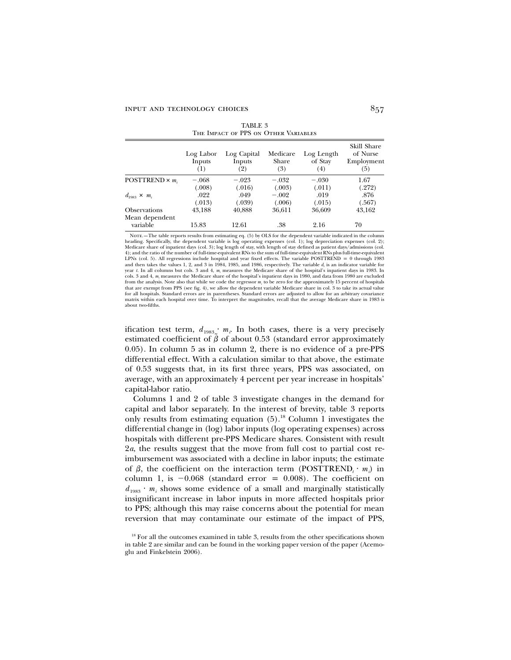|                       | Log Labor<br>Inputs<br>(1) | Log Capital<br>Inputs<br>(2) | Medicare<br>Share<br>(3) | Log Length<br>of Stay<br>(4) | Skill Share<br>of Nurse<br>Employment<br>(5) |
|-----------------------|----------------------------|------------------------------|--------------------------|------------------------------|----------------------------------------------|
| POSTTREND $\times m$  | $-.068$                    | $-.023$                      | $-.032$                  | $-.030$                      | 1.67                                         |
|                       | (.008)                     | (.016)                       | (.003)                   | (.011)                       | (.272)                                       |
| $d_{1983} \times m_i$ | .022                       | .049                         | $-.002$                  | .019                         | .876                                         |
|                       | (.013)                     | (.039)                       | (.006)                   | (.015)                       | (.567)                                       |
| <b>Observations</b>   | 43,188                     | 40,888                       | 36,611                   | 36,609                       | 43,162                                       |
| Mean dependent        |                            |                              |                          |                              |                                              |
| variable              | 15.83                      | 12.61                        | .38                      | 2.16                         | 70                                           |

TABLE 3 The Impact of PPS on Other Variables

NOTE. - The table reports results from estimating eq. (5) by OLS for the dependent variable indicated in the column heading. Specifically, the dependent variable is log operating expenses (col. 1); log depreciation expenses (col. 2);<br>Medicare share of inpatient days (col. 3); log length of stay, with length of stay defined as patient da LPNs (col. 5). All regressions include hospital and year fixed effects. The variable POSTTREND = 0 through 1983<br>and then takes the values 1, 2, and 3 in 1984, 1985, and 1986, respectively. The variable *d*, is an indicator cols. 3 and 4, measures the Medicare share of the hospital's inpatient days in 1980, and data from 1980 are excluded *mi* from the analysis. Note also that while we code the regressor m<sub>i</sub> to be zero for the approximately 15 percent of hospitals that are exempt from PPS (see fig. 4), we allow the dependent variable Medicare share in col. 3 to take its actual value for all hospitals. Standard errors are in parentheses. Standard errors are adjusted to allow for an arbitrary covariance matrix within each hospital over time. To interpret the magnitudes, recall that the average Medicare share in 1983 is about two-fifths.

ification test term,  $d_{1983}$  *m<sub>i</sub>*. In both cases, there is a very precisely estimated coefficient of  $\tilde{\beta}$  of about 0.53 (standard error approximately 0.05). In column 5 as in column 2, there is no evidence of a pre-PPS differential effect. With a calculation similar to that above, the estimate of 0.53 suggests that, in its first three years, PPS was associated, on average, with an approximately 4 percent per year increase in hospitals' capital-labor ratio.

Columns 1 and 2 of table 3 investigate changes in the demand for capital and labor separately. In the interest of brevity, table 3 reports only results from estimating equation  $(5)$ .<sup>18</sup> Column 1 investigates the differential change in (log) labor inputs (log operating expenses) across hospitals with different pre-PPS Medicare shares. Consistent with result 2*a*, the results suggest that the move from full cost to partial cost reimbursement was associated with a decline in labor inputs; the estimate of  $\beta$ , the coefficient on the interaction term (POSTTREND<sub>*t*</sub> *m<sub>i</sub>*) in column 1, is  $-0.068$  (standard error = 0.008). The coefficient on  $d_{1983} \cdot m_i$  shows some evidence of a small and marginally statistically insignificant increase in labor inputs in more affected hospitals prior to PPS; although this may raise concerns about the potential for mean reversion that may contaminate our estimate of the impact of PPS,

 $18$  For all the outcomes examined in table 3, results from the other specifications shown in table 2 are similar and can be found in the working paper version of the paper (Acemoglu and Finkelstein 2006).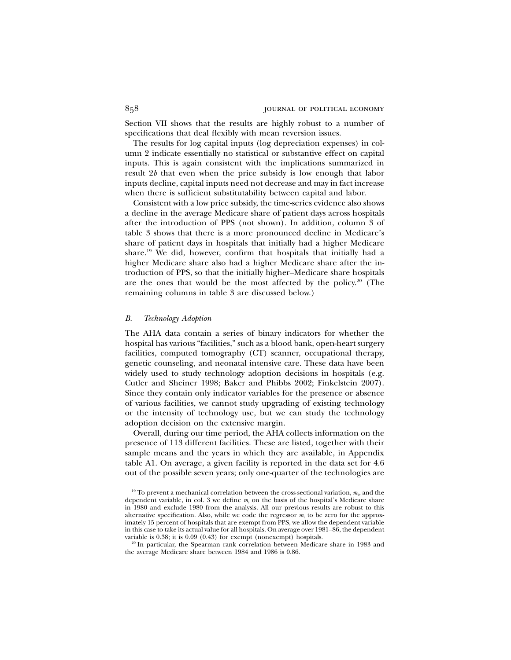Section VII shows that the results are highly robust to a number of specifications that deal flexibly with mean reversion issues.

The results for log capital inputs (log depreciation expenses) in column 2 indicate essentially no statistical or substantive effect on capital inputs. This is again consistent with the implications summarized in result 2*b* that even when the price subsidy is low enough that labor inputs decline, capital inputs need not decrease and may in fact increase when there is sufficient substitutability between capital and labor.

Consistent with a low price subsidy, the time-series evidence also shows a decline in the average Medicare share of patient days across hospitals after the introduction of PPS (not shown). In addition, column 3 of table 3 shows that there is a more pronounced decline in Medicare's share of patient days in hospitals that initially had a higher Medicare share.<sup>19</sup> We did, however, confirm that hospitals that initially had a higher Medicare share also had a higher Medicare share after the introduction of PPS, so that the initially higher–Medicare share hospitals are the ones that would be the most affected by the policy.<sup>20</sup> (The remaining columns in table 3 are discussed below.)

#### *B. Technology Adoption*

The AHA data contain a series of binary indicators for whether the hospital has various "facilities," such as a blood bank, open-heart surgery facilities, computed tomography (CT) scanner, occupational therapy, genetic counseling, and neonatal intensive care. These data have been widely used to study technology adoption decisions in hospitals (e.g. Cutler and Sheiner 1998; Baker and Phibbs 2002; Finkelstein 2007). Since they contain only indicator variables for the presence or absence of various facilities, we cannot study upgrading of existing technology or the intensity of technology use, but we can study the technology adoption decision on the extensive margin.

Overall, during our time period, the AHA collects information on the presence of 113 different facilities. These are listed, together with their sample means and the years in which they are available, in Appendix table A1. On average, a given facility is reported in the data set for 4.6 out of the possible seven years; only one-quarter of the technologies are

<sup>&</sup>lt;sup>19</sup> To prevent a mechanical correlation between the cross-sectional variation,  $m_i$ , and the dependent variable, in col. 3 we define  $m_i$  on the basis of the hospital's Medicare share in 1980 and exclude 1980 from the analysis. All our previous results are robust to this alternative specification. Also, while we code the regressor  $m_i$  to be zero for the approximately 15 percent of hospitals that are exempt from PPS, we allow the dependent variable in this case to take its actual value for all hospitals. On average over 1981–86, the dependent variable is 0.38; it is 0.09 (0.43) for exempt (nonexempt) hospitals.

 $20$  In particular, the Spearman rank correlation between Medicare share in 1983 and the average Medicare share between 1984 and 1986 is 0.86.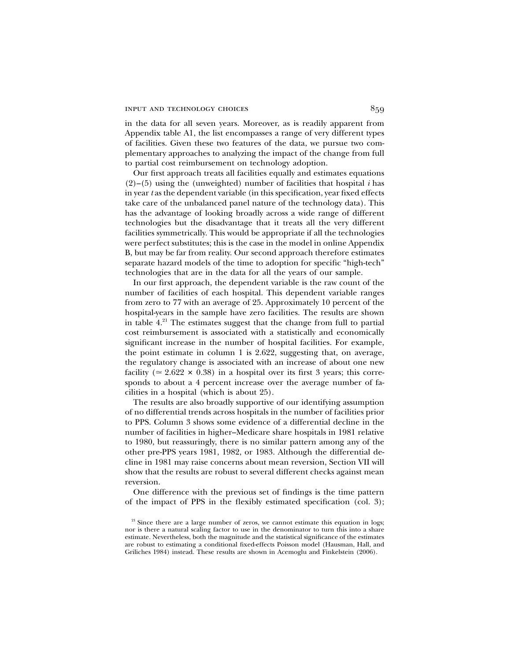#### INPUT AND TECHNOLOGY CHOICES 859

in the data for all seven years. Moreover, as is readily apparent from Appendix table A1, the list encompasses a range of very different types of facilities. Given these two features of the data, we pursue two complementary approaches to analyzing the impact of the change from full to partial cost reimbursement on technology adoption.

Our first approach treats all facilities equally and estimates equations (2)–(5) using the (unweighted) number of facilities that hospital *i* has in year *t* as the dependent variable (in this specification, year fixed effects take care of the unbalanced panel nature of the technology data). This has the advantage of looking broadly across a wide range of different technologies but the disadvantage that it treats all the very different facilities symmetrically. This would be appropriate if all the technologies were perfect substitutes; this is the case in the model in online Appendix B, but may be far from reality. Our second approach therefore estimates separate hazard models of the time to adoption for specific "high-tech" technologies that are in the data for all the years of our sample.

In our first approach, the dependent variable is the raw count of the number of facilities of each hospital. This dependent variable ranges from zero to 77 with an average of 25. Approximately 10 percent of the hospital-years in the sample have zero facilities. The results are shown in table  $4<sup>21</sup>$ . The estimates suggest that the change from full to partial cost reimbursement is associated with a statistically and economically significant increase in the number of hospital facilities. For example, the point estimate in column 1 is 2.622, suggesting that, on average, the regulatory change is associated with an increase of about one new facility ( $\simeq 2.622 \times 0.38$ ) in a hospital over its first 3 years; this corresponds to about a 4 percent increase over the average number of facilities in a hospital (which is about 25).

The results are also broadly supportive of our identifying assumption of no differential trends across hospitals in the number of facilities prior to PPS. Column 3 shows some evidence of a differential decline in the number of facilities in higher–Medicare share hospitals in 1981 relative to 1980, but reassuringly, there is no similar pattern among any of the other pre-PPS years 1981, 1982, or 1983. Although the differential decline in 1981 may raise concerns about mean reversion, Section VII will show that the results are robust to several different checks against mean reversion.

One difference with the previous set of findings is the time pattern of the impact of PPS in the flexibly estimated specification (col. 3);

<sup>&</sup>lt;sup>21</sup> Since there are a large number of zeros, we cannot estimate this equation in logs; nor is there a natural scaling factor to use in the denominator to turn this into a share estimate. Nevertheless, both the magnitude and the statistical significance of the estimates are robust to estimating a conditional fixed-effects Poisson model (Hausman, Hall, and Griliches 1984) instead. These results are shown in Acemoglu and Finkelstein (2006).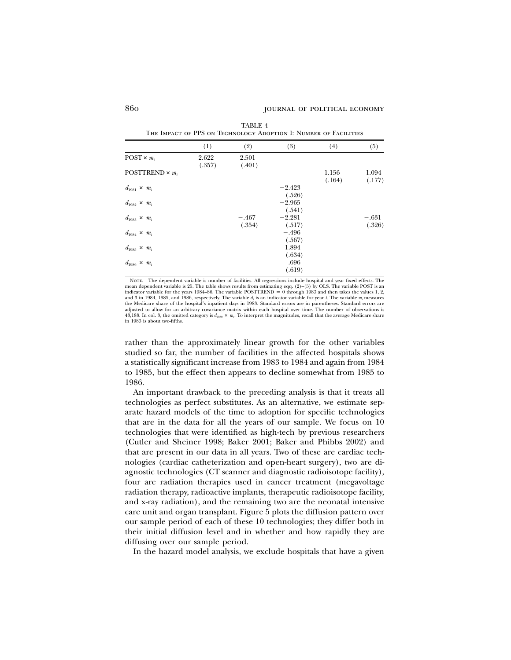$-.631$ (.326)

|                       |                 | THE IMPACT OF PPS ON TECHNOLOGY ADOPTION I: NUMBER OF FACILITIES |          |                 |                 |
|-----------------------|-----------------|------------------------------------------------------------------|----------|-----------------|-----------------|
|                       | (1)             | (2)                                                              | (3)      | (4)             | (5)             |
| $POST \times m$       | 2.622<br>(.357) | 2.501<br>(.401)                                                  |          |                 |                 |
| POSTTREND $\times m$  |                 |                                                                  |          | 1.156<br>(.164) | 1.094<br>(.177) |
| $d_{1981} \times m_i$ |                 |                                                                  | $-2.423$ |                 |                 |

(.354)

 $\begin{array}{c} \textbf{(.526)} \\ -2.965 \end{array}$ 

(.541)

 $(0.567)$ <br>1.894

 $(.634)$ <br> $.696$ 

(.619)

 $-2.281$  $(.517)$ <br>-.496

TABLE 4

Note.—The dependent variable is number of facilities. All regressions include hospital and year fixed effects. The mean dependent variable is 25. The table shows results from estimating eqq. (2)–(5) by OLS. The variable POST is an<br>indicator variable for the years 1984–86. The variable POSTTREND = 0 through 1983 and then takes the value the Medicare share of the hospital's inpatient days in 1983. Standard errors are in parentheses. Standard errors are adjusted to allow for an arbitrary covariance matrix within each hospital over time. The number of observations is 43,188. In col. 3, the omitted category is  $d_{1980} \times m_i$ . To interpret the magnitudes, recall that the average Medicare share in 1983 is about two-fifths.

rather than the approximately linear growth for the other variables studied so far, the number of facilities in the affected hospitals shows a statistically significant increase from 1983 to 1984 and again from 1984 to 1985, but the effect then appears to decline somewhat from 1985 to 1986.

An important drawback to the preceding analysis is that it treats all technologies as perfect substitutes. As an alternative, we estimate separate hazard models of the time to adoption for specific technologies that are in the data for all the years of our sample. We focus on 10 technologies that were identified as high-tech by previous researchers (Cutler and Sheiner 1998; Baker 2001; Baker and Phibbs 2002) and that are present in our data in all years. Two of these are cardiac technologies (cardiac catheterization and open-heart surgery), two are diagnostic technologies (CT scanner and diagnostic radioisotope facility), four are radiation therapies used in cancer treatment (megavoltage radiation therapy, radioactive implants, therapeutic radioisotope facility, and x-ray radiation), and the remaining two are the neonatal intensive care unit and organ transplant. Figure 5 plots the diffusion pattern over our sample period of each of these 10 technologies; they differ both in their initial diffusion level and in whether and how rapidly they are diffusing over our sample period.

In the hazard model analysis, we exclude hospitals that have a given

 $\equiv$ 

 $d_{1982} \times m_i$ 

 $d_{1984} \times m_i$ 

 $d_{1985} \times m_i$ 

 $d_{1986} \times m_i$ 

 $d_{1983} \times m_i$  -.467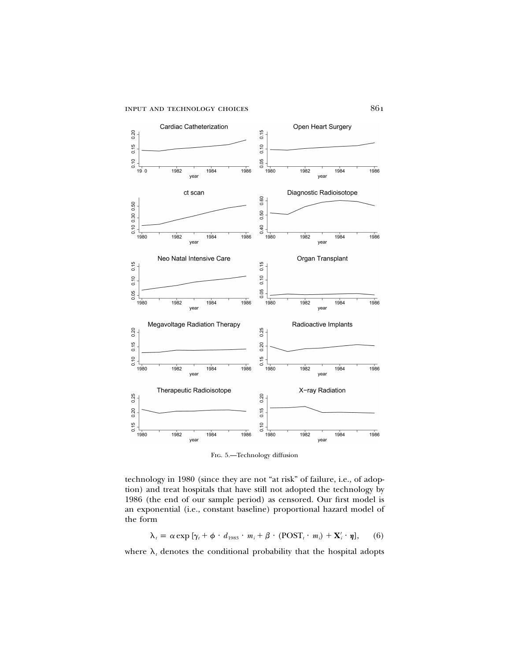

Fig. 5.—Technology diffusion

technology in 1980 (since they are not "at risk" of failure, i.e., of adoption) and treat hospitals that have still not adopted the technology by 1986 (the end of our sample period) as censored. Our first model is an exponential (i.e., constant baseline) proportional hazard model of the form

 $\lambda_i = \alpha \exp [\gamma_i + \phi \cdot d_{1983} \cdot m_i + \beta \cdot (\text{POST}_i \cdot m_i) + \mathbf{X}'_i \cdot \mathbf{\eta}],$  (6)

where  $\lambda_t$  denotes the conditional probability that the hospital adopts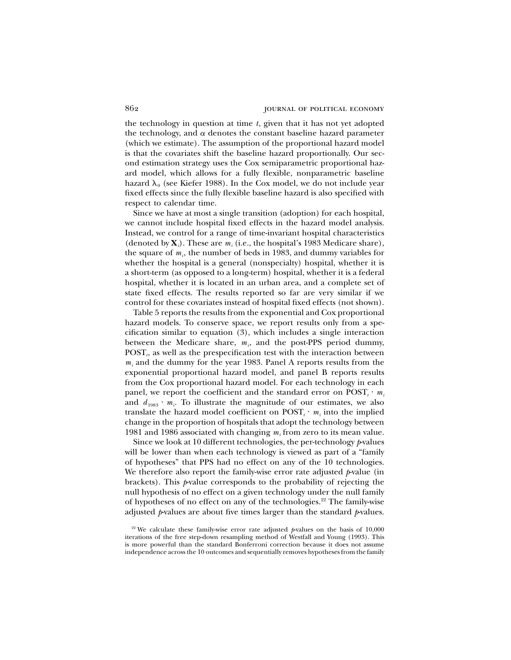the technology in question at time *t*, given that it has not yet adopted the technology, and  $\alpha$  denotes the constant baseline hazard parameter (which we estimate). The assumption of the proportional hazard model is that the covariates shift the baseline hazard proportionally. Our second estimation strategy uses the Cox semiparametric proportional hazard model, which allows for a fully flexible, nonparametric baseline hazard  $\lambda_0$  (see Kiefer 1988). In the Cox model, we do not include year fixed effects since the fully flexible baseline hazard is also specified with respect to calendar time.

Since we have at most a single transition (adoption) for each hospital, we cannot include hospital fixed effects in the hazard model analysis. Instead, we control for a range of time-invariant hospital characteristics (denoted by  $\mathbf{X}_i$ ). These are  $m_i$  (i.e., the hospital's 1983 Medicare share), the square of  $m_i$ , the number of beds in 1983, and dummy variables for whether the hospital is a general (nonspecialty) hospital, whether it is a short-term (as opposed to a long-term) hospital, whether it is a federal hospital, whether it is located in an urban area, and a complete set of state fixed effects. The results reported so far are very similar if we control for these covariates instead of hospital fixed effects (not shown).

Table 5 reports the results from the exponential and Cox proportional hazard models. To conserve space, we report results only from a specification similar to equation (3), which includes a single interaction between the Medicare share,  $m_i$ , and the post-PPS period dummy, POST<sub>t</sub>, as well as the prespecification test with the interaction between  $m<sub>i</sub>$  and the dummy for the year 1983. Panel A reports results from the exponential proportional hazard model, and panel B reports results from the Cox proportional hazard model. For each technology in each panel, we report the coefficient and the standard error on  $POST_t \cdot m_i$ and  $d_{1983} \cdot m_i$ . To illustrate the magnitude of our estimates, we also translate the hazard model coefficient on  $POST_t \cdot m_i$  into the implied change in the proportion of hospitals that adopt the technology between 1981 and 1986 associated with changing  $m_i$  from zero to its mean value.

Since we look at 10 different technologies, the per-technology *p*-values will be lower than when each technology is viewed as part of a "family of hypotheses" that PPS had no effect on any of the 10 technologies. We therefore also report the family-wise error rate adjusted *p*-value (in brackets). This *p*-value corresponds to the probability of rejecting the null hypothesis of no effect on a given technology under the null family of hypotheses of no effect on any of the technologies.<sup>22</sup> The family-wise adjusted *p*-values are about five times larger than the standard *p*-values.

<sup>&</sup>lt;sup>22</sup> We calculate these family-wise error rate adjusted  $p$ -values on the basis of 10,000 iterations of the free step-down resampling method of Westfall and Young (1993). This is more powerful than the standard Bonferroni correction because it does not assume independence across the 10 outcomes and sequentially removes hypotheses from the family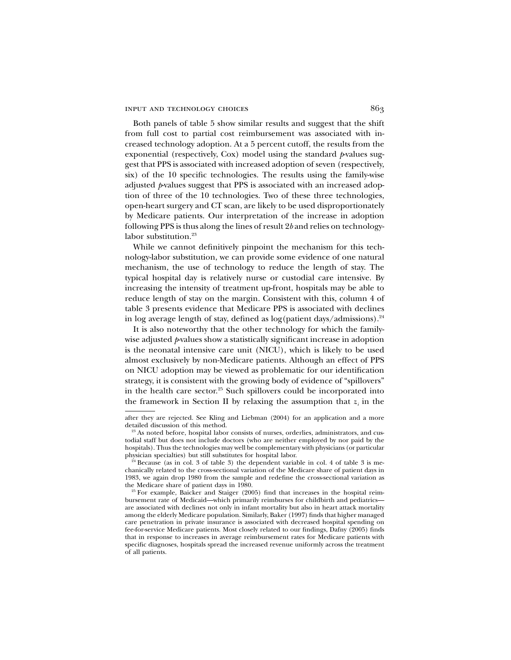# INPUT AND TECHNOLOGY CHOICES 863

Both panels of table 5 show similar results and suggest that the shift from full cost to partial cost reimbursement was associated with increased technology adoption. At a 5 percent cutoff, the results from the exponential (respectively, Cox) model using the standard  *values sug*gest that PPS is associated with increased adoption of seven (respectively, six) of the 10 specific technologies. The results using the family-wise adjusted *p*-values suggest that PPS is associated with an increased adoption of three of the 10 technologies. Two of these three technologies, open-heart surgery and CT scan, are likely to be used disproportionately by Medicare patients. Our interpretation of the increase in adoption following PPS is thus along the lines of result 2*b* and relies on technologylabor substitution.<sup>23</sup>

While we cannot definitively pinpoint the mechanism for this technology-labor substitution, we can provide some evidence of one natural mechanism, the use of technology to reduce the length of stay. The typical hospital day is relatively nurse or custodial care intensive. By increasing the intensity of treatment up-front, hospitals may be able to reduce length of stay on the margin. Consistent with this, column 4 of table 3 presents evidence that Medicare PPS is associated with declines in log average length of stay, defined as  $log(pation days/admissions).^{24}$ 

It is also noteworthy that the other technology for which the familywise adjusted *p*-values show a statistically significant increase in adoption is the neonatal intensive care unit (NICU), which is likely to be used almost exclusively by non-Medicare patients. Although an effect of PPS on NICU adoption may be viewed as problematic for our identification strategy, it is consistent with the growing body of evidence of "spillovers" in the health care sector. $25$  Such spillovers could be incorporated into the framework in Section II by relaxing the assumption that  $z_i$  in the

after they are rejected. See Kling and Liebman (2004) for an application and a more detailed discussion of this method.

 $2<sup>23</sup>$  As noted before, hospital labor consists of nurses, orderlies, administrators, and custodial staff but does not include doctors (who are neither employed by nor paid by the hospitals). Thus the technologies may well be complementary with physicians (or particular physician specialties) but still substitutes for hospital labor.

<sup>&</sup>lt;sup>4</sup> Because (as in col. 3 of table 3) the dependent variable in col. 4 of table 3 is mechanically related to the cross-sectional variation of the Medicare share of patient days in 1983, we again drop 1980 from the sample and redefine the cross-sectional variation as the Medicare share of patient days in 1980.

 $25$  For example, Baicker and Staiger (2005) find that increases in the hospital reimbursement rate of Medicaid—which primarily reimburses for childbirth and pediatrics are associated with declines not only in infant mortality but also in heart attack mortality among the elderly Medicare population. Similarly, Baker (1997) finds that higher managed care penetration in private insurance is associated with decreased hospital spending on fee-for-service Medicare patients. Most closely related to our findings, Dafny (2005) finds that in response to increases in average reimbursement rates for Medicare patients with specific diagnoses, hospitals spread the increased revenue uniformly across the treatment of all patients.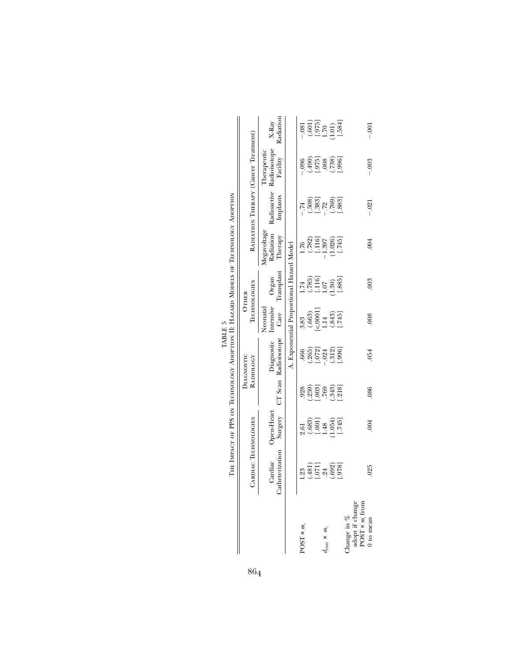|                                                               |                                                                           |                                                         |                                                   | THE IMPORTANCE OF THE STREET OF ADDITION IT MOTHER THANGED IN STREET TO THE THE THE THE THE THE THE THE THE T |                                    |                                                        |                                                        |                                                                              |                                         |                                                                               |
|---------------------------------------------------------------|---------------------------------------------------------------------------|---------------------------------------------------------|---------------------------------------------------|---------------------------------------------------------------------------------------------------------------|------------------------------------|--------------------------------------------------------|--------------------------------------------------------|------------------------------------------------------------------------------|-----------------------------------------|-------------------------------------------------------------------------------|
|                                                               | CARDIAC TECHNOLOGIES                                                      |                                                         |                                                   | DIAGNOSTIC<br>RADIOLOGY                                                                                       |                                    | <b>TECHNOLOGIES</b><br>OTHER                           |                                                        |                                                                              | RADIATION THERAPY (Cancer Treatment)    |                                                                               |
|                                                               | Catheterization<br>Cardiac                                                | Open-Heart<br>Surgery                                   |                                                   | CT Scan Radioisotope<br>Diagnostic                                                                            | Care<br>Intensive<br>Neonatal      | Transplant<br>Organ                                    | Megavoltage<br>Radiation<br>Therapy                    | Radioactive<br>Implants                                                      | Radioisotope<br>Therapeutic<br>Facility | X-Ray<br>Radiation                                                            |
|                                                               |                                                                           |                                                         |                                                   |                                                                                                               |                                    | A. Exponential Proportional Hazard Model               |                                                        |                                                                              |                                         |                                                                               |
| $POST \times m_i$                                             | $\ddot{3}$                                                                | 2.61                                                    | 928                                               | .666                                                                                                          | 3.83                               | 1.74                                                   | 01.16                                                  | $-74$                                                                        | $-096$                                  | $-0.81$                                                                       |
|                                                               |                                                                           |                                                         |                                                   |                                                                                                               |                                    |                                                        |                                                        |                                                                              |                                         |                                                                               |
|                                                               | $\begin{array}{c} (481) \\ (1071) \\ (392) \\ (489) \\ (592) \end{array}$ | $(0.683)$<br>[1001]                                     |                                                   | $\begin{array}{c} (.265) \\ [.072] \\ -.024 \end{array}$                                                      | $(0.663)$<br>$[-0.0001]$<br>$1.14$ | $\begin{array}{c} (785) \\ [1116] \\ 1.07 \end{array}$ | $\begin{array}{c} (782) \\ [116] \\ 1.397 \end{array}$ | $\begin{smallmatrix} .508 \\ .383 \\ .726 \\ .769 \\ .383 \end{smallmatrix}$ | 1983<br>1988<br>1989<br>1989            | $\begin{array}{c} (.601) \\ -.9751 \\ -.701) \\ -.6341 \\ -.6341 \end{array}$ |
| $d_{1983} \times m_{i}$                                       |                                                                           |                                                         |                                                   |                                                                                                               |                                    |                                                        |                                                        |                                                                              |                                         |                                                                               |
|                                                               |                                                                           |                                                         |                                                   | $(312)$<br>$-996$ ]                                                                                           | $\frac{(.843)}{[-745]}$            |                                                        |                                                        |                                                                              |                                         |                                                                               |
|                                                               |                                                                           | $\begin{array}{c} 1.48 \\ 1.054) \\ [.745] \end{array}$ | $(359)$<br>$(359)$<br>$(59)$<br>$(35)$<br>$(318)$ |                                                                                                               |                                    | $(1.30)$<br>[.885]                                     | $\frac{(1.026)}{1.745}$                                |                                                                              |                                         |                                                                               |
| Change in $\%$<br>adopt if change<br>POST $\times$ $m_s$ from |                                                                           |                                                         |                                                   |                                                                                                               |                                    |                                                        |                                                        |                                                                              |                                         |                                                                               |
| ) to mean                                                     | 025                                                                       | .004                                                    | .086                                              | .054                                                                                                          | 008                                | 003                                                    | .004                                                   | $-.021$                                                                      | $-.003$                                 | $-.001$                                                                       |
|                                                               |                                                                           |                                                         |                                                   |                                                                                                               |                                    |                                                        |                                                        |                                                                              |                                         |                                                                               |

The Impact of PPS on Technology Adoption II: Hazard Models of Technology Adoption Ž TABLE 5<br>PTON I': H<sub>4</sub> TABLE 5 pps Turn  $\mathbf{L}$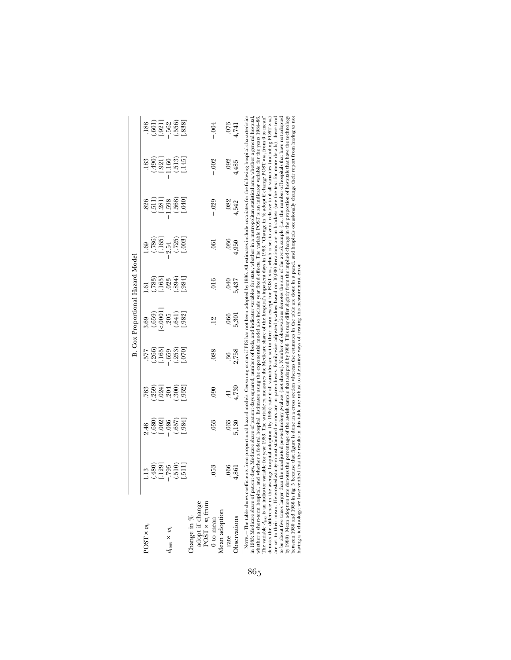|                                  | $-188$          | $(0.601)$<br>$(0.921)$<br>$(0.62)$              |        |                       | (.556) | .838]   |                |                                   |                  |               | $\frac{073}{4,741}$        |                     |                                                                                                                                                                                                                                                                                                                                                                                                                                                                                                                                                                                                                                                                                                                                                                                                                                                                                                                                                                                                                                                                                                                                                                                                                                                                                           |
|----------------------------------|-----------------|-------------------------------------------------|--------|-----------------------|--------|---------|----------------|-----------------------------------|------------------|---------------|----------------------------|---------------------|-------------------------------------------------------------------------------------------------------------------------------------------------------------------------------------------------------------------------------------------------------------------------------------------------------------------------------------------------------------------------------------------------------------------------------------------------------------------------------------------------------------------------------------------------------------------------------------------------------------------------------------------------------------------------------------------------------------------------------------------------------------------------------------------------------------------------------------------------------------------------------------------------------------------------------------------------------------------------------------------------------------------------------------------------------------------------------------------------------------------------------------------------------------------------------------------------------------------------------------------------------------------------------------------|
|                                  | -.183           | (490)                                           | [.921] | 1.160                 | (.513) | [.145]  |                |                                   | $-.002$          |               | .092                       | 4,485               |                                                                                                                                                                                                                                                                                                                                                                                                                                                                                                                                                                                                                                                                                                                                                                                                                                                                                                                                                                                                                                                                                                                                                                                                                                                                                           |
|                                  | $-.826$         | $\begin{array}{c} (0.511) \\ 0.281 \end{array}$ |        | 1.598                 | (.568) | $[0+0]$ |                |                                   | $-.029$          |               | .082                       | 4,542               |                                                                                                                                                                                                                                                                                                                                                                                                                                                                                                                                                                                                                                                                                                                                                                                                                                                                                                                                                                                                                                                                                                                                                                                                                                                                                           |
|                                  | 69              | (386)                                           | [165]  | 2.54                  | (725)  | 0.003   |                |                                   | $\overline{5}$   |               | .036                       | 4,950               |                                                                                                                                                                                                                                                                                                                                                                                                                                                                                                                                                                                                                                                                                                                                                                                                                                                                                                                                                                                                                                                                                                                                                                                                                                                                                           |
| B. Cox Proportional Hazard Model | $\ddot{\circ}$  | .783                                            | .165   | .023                  | .894)  | .984    |                |                                   | .016             |               | $0\not\hspace{-1.5mm}=\!0$ | 5,437               |                                                                                                                                                                                                                                                                                                                                                                                                                                                                                                                                                                                                                                                                                                                                                                                                                                                                                                                                                                                                                                                                                                                                                                                                                                                                                           |
|                                  | 3.69            | (.659)                                          | 0001   | 205                   | (140)  | .982    |                |                                   | $\overline{12}$  |               | .066                       | 5,301               |                                                                                                                                                                                                                                                                                                                                                                                                                                                                                                                                                                                                                                                                                                                                                                                                                                                                                                                                                                                                                                                                                                                                                                                                                                                                                           |
|                                  | 577             | .266)                                           | 1165   | $-0.659$              | (.253) | [020]   |                |                                   | .088             |               | 36                         | 2,758               |                                                                                                                                                                                                                                                                                                                                                                                                                                                                                                                                                                                                                                                                                                                                                                                                                                                                                                                                                                                                                                                                                                                                                                                                                                                                                           |
|                                  | 783             | .259)                                           | .024]  | 204                   | .300   | .932]   |                |                                   | 0.60             |               | $\ddot{=}$                 | 4,739               |                                                                                                                                                                                                                                                                                                                                                                                                                                                                                                                                                                                                                                                                                                                                                                                                                                                                                                                                                                                                                                                                                                                                                                                                                                                                                           |
|                                  | 2.48            | 080.                                            | [.002] | $-.086$               | (.657) | .984    |                |                                   | 053              |               | 033                        | 5,130               |                                                                                                                                                                                                                                                                                                                                                                                                                                                                                                                                                                                                                                                                                                                                                                                                                                                                                                                                                                                                                                                                                                                                                                                                                                                                                           |
|                                  | $\frac{3}{2}$   | (.480)                                          | [.129] | $-795$                | (.510) | 511     |                |                                   | 053              |               | .066                       | 4,861               |                                                                                                                                                                                                                                                                                                                                                                                                                                                                                                                                                                                                                                                                                                                                                                                                                                                                                                                                                                                                                                                                                                                                                                                                                                                                                           |
| I                                | $POST \times m$ |                                                 |        | $d_{1983} \times m_i$ |        |         | Change in $\%$ | adopt if change<br>POST x m, from | $0$ to mean $\,$ | Mean adoption | rate                       | <b>Diservations</b> | Nore. –The table shows coefficients from proportional hazard models. Censoring occurs if PPS has not been adopted by 1986. All estimates include covariates for the following hospital characteristics<br>The variable d <sub>isse</sub> is an indicator variable for year 1983. The variable m <sub>o</sub> measures the Medicare share of the hospital's inpatient days in 1983. "Change in % adopt if change POST ×m, from 0 to mean"<br>are set to their mean. Heteroskedasticity-robust standard errors are in parentheses. Family sites dijusted praducs based on 10,000 iterations are in brackets (see the text for more details); these tend<br>whether a shorterm hospital, and whether a federal hospital. Estimates using the exponential model also include year fixed effects. The variable POST is an indicator variable for the years 1984–86<br>denotes the difference in the average hospital adoption (by 1986) rate if all variables are set to their mean except for POST x m, which is set to zero, relative to if all variables (including POST x m)<br>in 1983: Medicare share of patient days, Medicare share of patient days squared, number of beds, and indicator variables for state, whether in a metropolitan statistical area, whether a general hospital |

| устрения или при применения или при применении при применении при применении при применении при применении при<br>Применения при применении при применении при применении при применении при применении при применении при приме | n 1983: Medicare share of patient days, Medicare share of patient days squared, number of beds, and indicator variables for state, whether in a metropolitan statistical area, whether a general hospital, | thether a short-term hospital, and whether a federal hospital. Estimates using the exponential model also include year fixed effects. The variable POST is an indicator variable for the years 1984–86. | The variable $d_{\text{ass}}$ is an indicator variable for year 1983. The variable m, measures the Medicare share of the hospital's inpatient days in 1983. "Change in % adopt if change POST x m, from 0 to mean" | average hospital adoption (by 1986) rate if all variables are set to their mean except for POST $x_{m_i}$ , which is set to zero, relative to if all variables (including POST x $m_i$ ) | are set to their mean. Heteroskedasticity-robust standard errors are in parentheses. Family-wise adjusted pralues based on 10,000 iterations are in brackets (see the text for more details); these tend | to be about five times larger than the unadjusted per-technology pvalues (not shown). Number of beservations denotes the size of the at-risk sample (i.e., the number of hospitals that have not adopted | by 1980). Mean adoption rate denotes the percentage of the at-risk sample that adopted by 1986. This may differ slightly from the implied change in the proportion of hospitals that have the technology | between 1980 and 1986 in fig. 5 because that figure is done in a cross section whereas the estimates in the table are done in a panel, and hospitals occasionally change their report from having to not | verified that the results in this table are robust to alternative ways of treating this measurement error. |  |
|----------------------------------------------------------------------------------------------------------------------------------------------------------------------------------------------------------------------------------|------------------------------------------------------------------------------------------------------------------------------------------------------------------------------------------------------------|---------------------------------------------------------------------------------------------------------------------------------------------------------------------------------------------------------|--------------------------------------------------------------------------------------------------------------------------------------------------------------------------------------------------------------------|------------------------------------------------------------------------------------------------------------------------------------------------------------------------------------------|----------------------------------------------------------------------------------------------------------------------------------------------------------------------------------------------------------|----------------------------------------------------------------------------------------------------------------------------------------------------------------------------------------------------------|----------------------------------------------------------------------------------------------------------------------------------------------------------------------------------------------------------|----------------------------------------------------------------------------------------------------------------------------------------------------------------------------------------------------------|------------------------------------------------------------------------------------------------------------|--|
|                                                                                                                                                                                                                                  |                                                                                                                                                                                                            |                                                                                                                                                                                                         |                                                                                                                                                                                                                    | lenotes the difference in the a                                                                                                                                                          |                                                                                                                                                                                                          |                                                                                                                                                                                                          |                                                                                                                                                                                                          |                                                                                                                                                                                                          | naving a technology; we have                                                                               |  |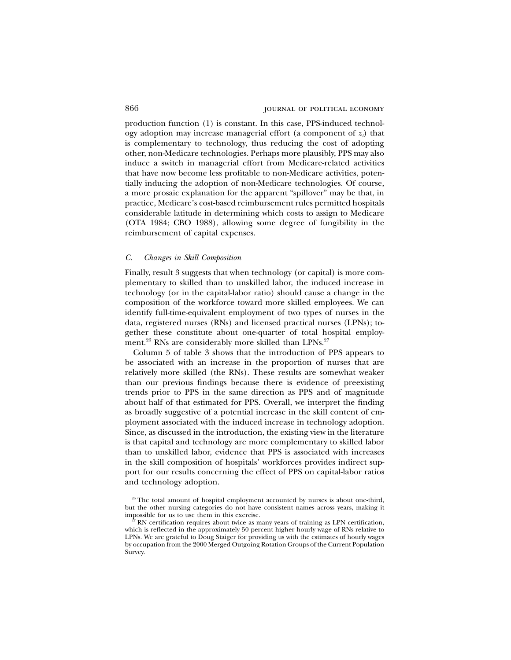production function (1) is constant. In this case, PPS-induced technology adoption may increase managerial effort (a component of  $z_i$ ) that is complementary to technology, thus reducing the cost of adopting other, non-Medicare technologies. Perhaps more plausibly, PPS may also induce a switch in managerial effort from Medicare-related activities that have now become less profitable to non-Medicare activities, potentially inducing the adoption of non-Medicare technologies. Of course, a more prosaic explanation for the apparent "spillover" may be that, in practice, Medicare's cost-based reimbursement rules permitted hospitals considerable latitude in determining which costs to assign to Medicare (OTA 1984; CBO 1988), allowing some degree of fungibility in the reimbursement of capital expenses.

# *C. Changes in Skill Composition*

Finally, result 3 suggests that when technology (or capital) is more complementary to skilled than to unskilled labor, the induced increase in technology (or in the capital-labor ratio) should cause a change in the composition of the workforce toward more skilled employees. We can identify full-time-equivalent employment of two types of nurses in the data, registered nurses (RNs) and licensed practical nurses (LPNs); together these constitute about one-quarter of total hospital employment.<sup>26</sup> RNs are considerably more skilled than LPNs.<sup>27</sup>

Column 5 of table 3 shows that the introduction of PPS appears to be associated with an increase in the proportion of nurses that are relatively more skilled (the RNs). These results are somewhat weaker than our previous findings because there is evidence of preexisting trends prior to PPS in the same direction as PPS and of magnitude about half of that estimated for PPS. Overall, we interpret the finding as broadly suggestive of a potential increase in the skill content of employment associated with the induced increase in technology adoption. Since, as discussed in the introduction, the existing view in the literature is that capital and technology are more complementary to skilled labor than to unskilled labor, evidence that PPS is associated with increases in the skill composition of hospitals' workforces provides indirect support for our results concerning the effect of PPS on capital-labor ratios and technology adoption.

<sup>&</sup>lt;sup>26</sup> The total amount of hospital employment accounted by nurses is about one-third, but the other nursing categories do not have consistent names across years, making it impossible for us to use them in this exercise.

 $27$  RN certification requires about twice as many years of training as LPN certification, which is reflected in the approximately 50 percent higher hourly wage of RNs relative to LPNs. We are grateful to Doug Staiger for providing us with the estimates of hourly wages by occupation from the 2000 Merged Outgoing Rotation Groups of the Current Population Survey.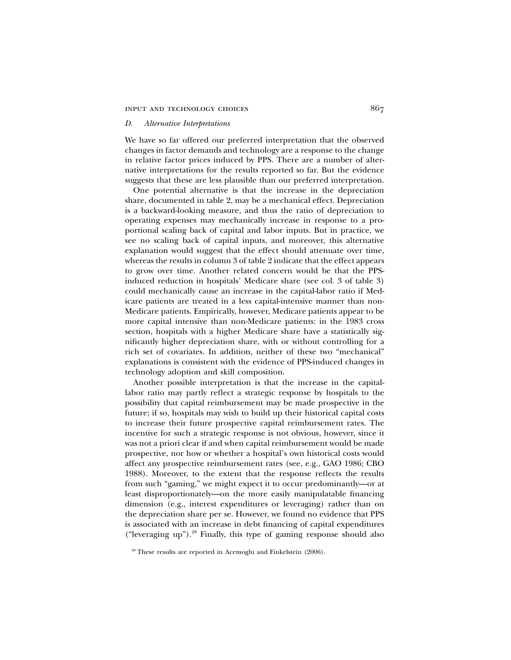# INPUT AND TECHNOLOGY CHOICES 867

# *D. Alternative Interpretations*

We have so far offered our preferred interpretation that the observed changes in factor demands and technology are a response to the change in relative factor prices induced by PPS. There are a number of alternative interpretations for the results reported so far. But the evidence suggests that these are less plausible than our preferred interpretation.

One potential alternative is that the increase in the depreciation share, documented in table 2, may be a mechanical effect. Depreciation is a backward-looking measure, and thus the ratio of depreciation to operating expenses may mechanically increase in response to a proportional scaling back of capital and labor inputs. But in practice, we see no scaling back of capital inputs, and moreover, this alternative explanation would suggest that the effect should attenuate over time, whereas the results in column 3 of table 2 indicate that the effect appears to grow over time. Another related concern would be that the PPSinduced reduction in hospitals' Medicare share (see col. 3 of table 3) could mechanically cause an increase in the capital-labor ratio if Medicare patients are treated in a less capital-intensive manner than non-Medicare patients. Empirically, however, Medicare patients appear to be more capital intensive than non-Medicare patients: in the 1983 cross section, hospitals with a higher Medicare share have a statistically significantly higher depreciation share, with or without controlling for a rich set of covariates. In addition, neither of these two "mechanical" explanations is consistent with the evidence of PPS-induced changes in technology adoption and skill composition.

Another possible interpretation is that the increase in the capitallabor ratio may partly reflect a strategic response by hospitals to the possibility that capital reimbursement may be made prospective in the future; if so, hospitals may wish to build up their historical capital costs to increase their future prospective capital reimbursement rates. The incentive for such a strategic response is not obvious, however, since it was not a priori clear if and when capital reimbursement would be made prospective, nor how or whether a hospital's own historical costs would affect any prospective reimbursement rates (see, e.g., GAO 1986; CBO 1988). Moreover, to the extent that the response reflects the results from such "gaming," we might expect it to occur predominantly—or at least disproportionately—on the more easily manipulatable financing dimension (e.g., interest expenditures or leveraging) rather than on the depreciation share per se. However, we found no evidence that PPS is associated with an increase in debt financing of capital expenditures ("leveraging up"). $^{28}$  Finally, this type of gaming response should also

<sup>&</sup>lt;sup>28</sup> These results are reported in Acemoglu and Finkelstein (2006).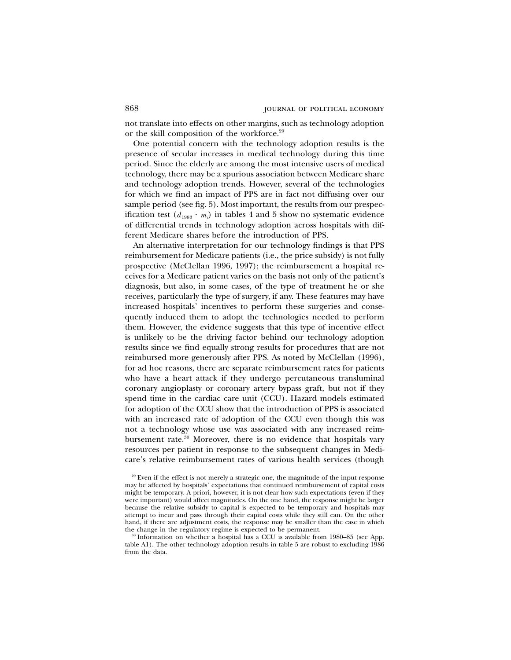not translate into effects on other margins, such as technology adoption or the skill composition of the workforce.<sup>29</sup>

One potential concern with the technology adoption results is the presence of secular increases in medical technology during this time period. Since the elderly are among the most intensive users of medical technology, there may be a spurious association between Medicare share and technology adoption trends. However, several of the technologies for which we find an impact of PPS are in fact not diffusing over our sample period (see fig. 5). Most important, the results from our prespecification test  $(d_{1983} \cdot m_i)$  in tables 4 and 5 show no systematic evidence of differential trends in technology adoption across hospitals with different Medicare shares before the introduction of PPS.

An alternative interpretation for our technology findings is that PPS reimbursement for Medicare patients (i.e., the price subsidy) is not fully prospective (McClellan 1996, 1997); the reimbursement a hospital receives for a Medicare patient varies on the basis not only of the patient's diagnosis, but also, in some cases, of the type of treatment he or she receives, particularly the type of surgery, if any. These features may have increased hospitals' incentives to perform these surgeries and consequently induced them to adopt the technologies needed to perform them. However, the evidence suggests that this type of incentive effect is unlikely to be the driving factor behind our technology adoption results since we find equally strong results for procedures that are not reimbursed more generously after PPS. As noted by McClellan (1996), for ad hoc reasons, there are separate reimbursement rates for patients who have a heart attack if they undergo percutaneous transluminal coronary angioplasty or coronary artery bypass graft, but not if they spend time in the cardiac care unit (CCU). Hazard models estimated for adoption of the CCU show that the introduction of PPS is associated with an increased rate of adoption of the CCU even though this was not a technology whose use was associated with any increased reimbursement rate.<sup>30</sup> Moreover, there is no evidence that hospitals vary resources per patient in response to the subsequent changes in Medicare's relative reimbursement rates of various health services (though

 $29$  Even if the effect is not merely a strategic one, the magnitude of the input response may be affected by hospitals' expectations that continued reimbursement of capital costs might be temporary. A priori, however, it is not clear how such expectations (even if they were important) would affect magnitudes. On the one hand, the response might be larger because the relative subsidy to capital is expected to be temporary and hospitals may attempt to incur and pass through their capital costs while they still can. On the other hand, if there are adjustment costs, the response may be smaller than the case in which the change in the regulatory regime is expected to be permanent.

 $30$  Information on whether a hospital has a CCU is available from 1980–85 (see App. table A1). The other technology adoption results in table 5 are robust to excluding 1986 from the data.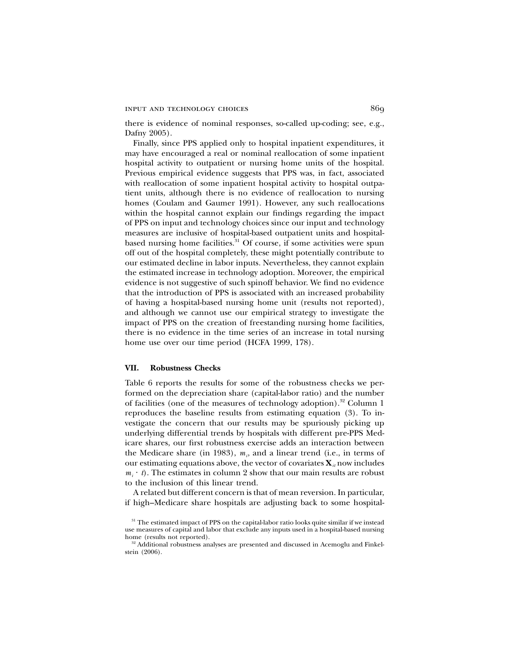# INPUT AND TECHNOLOGY CHOICES 869

there is evidence of nominal responses, so-called up-coding; see, e.g., Dafny 2005).

Finally, since PPS applied only to hospital inpatient expenditures, it may have encouraged a real or nominal reallocation of some inpatient hospital activity to outpatient or nursing home units of the hospital. Previous empirical evidence suggests that PPS was, in fact, associated with reallocation of some inpatient hospital activity to hospital outpatient units, although there is no evidence of reallocation to nursing homes (Coulam and Gaumer 1991). However, any such reallocations within the hospital cannot explain our findings regarding the impact of PPS on input and technology choices since our input and technology measures are inclusive of hospital-based outpatient units and hospitalbased nursing home facilities. $31$  Of course, if some activities were spun off out of the hospital completely, these might potentially contribute to our estimated decline in labor inputs. Nevertheless, they cannot explain the estimated increase in technology adoption. Moreover, the empirical evidence is not suggestive of such spinoff behavior. We find no evidence that the introduction of PPS is associated with an increased probability of having a hospital-based nursing home unit (results not reported), and although we cannot use our empirical strategy to investigate the impact of PPS on the creation of freestanding nursing home facilities, there is no evidence in the time series of an increase in total nursing home use over our time period (HCFA 1999, 178).

### **VII. Robustness Checks**

Table 6 reports the results for some of the robustness checks we performed on the depreciation share (capital-labor ratio) and the number of facilities (one of the measures of technology adoption).<sup>32</sup> Column 1 reproduces the baseline results from estimating equation (3). To investigate the concern that our results may be spuriously picking up underlying differential trends by hospitals with different pre-PPS Medicare shares, our first robustness exercise adds an interaction between the Medicare share (in 1983),  $m_i$ , and a linear trend (i.e., in terms of our estimating equations above, the vector of covariates  $\mathbf{X}_{i}$  now includes  $m_i \cdot t$ . The estimates in column 2 show that our main results are robust to the inclusion of this linear trend.

A related but different concern is that of mean reversion. In particular, if high–Medicare share hospitals are adjusting back to some hospital-

<sup>&</sup>lt;sup>31</sup> The estimated impact of PPS on the capital-labor ratio looks quite similar if we instead use measures of capital and labor that exclude any inputs used in a hospital-based nursing home (results not reported).

<sup>&</sup>lt;sup>32</sup> Additional robustness analyses are presented and discussed in Acemoglu and Finkelstein (2006).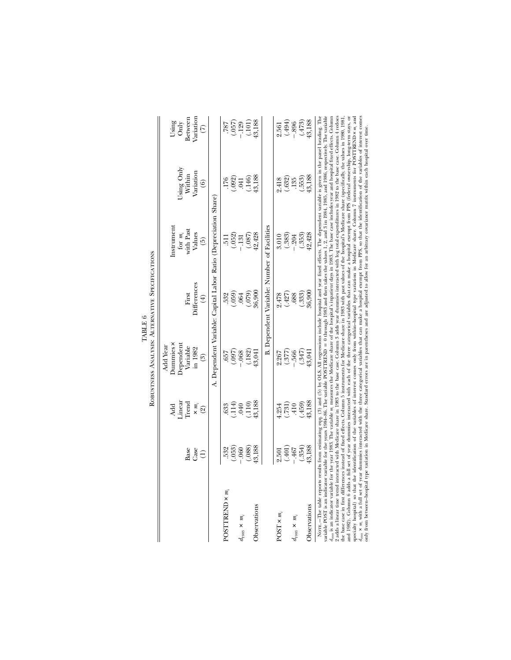|                                                                                                                                                                                                                                                                                                                                                                                                                                                                                                                                                                                                                                                                                                                                                                                                                                                                                                                                                                                                                                                                                                                                                                                                                                                                                                                                                                                                                                                                                                                                                                                                                                              |                 |                    | Add Year                |                                                                                                                                                                                             |                                            |                      |                                                                           |
|----------------------------------------------------------------------------------------------------------------------------------------------------------------------------------------------------------------------------------------------------------------------------------------------------------------------------------------------------------------------------------------------------------------------------------------------------------------------------------------------------------------------------------------------------------------------------------------------------------------------------------------------------------------------------------------------------------------------------------------------------------------------------------------------------------------------------------------------------------------------------------------------------------------------------------------------------------------------------------------------------------------------------------------------------------------------------------------------------------------------------------------------------------------------------------------------------------------------------------------------------------------------------------------------------------------------------------------------------------------------------------------------------------------------------------------------------------------------------------------------------------------------------------------------------------------------------------------------------------------------------------------------|-----------------|--------------------|-------------------------|---------------------------------------------------------------------------------------------------------------------------------------------------------------------------------------------|--------------------------------------------|----------------------|---------------------------------------------------------------------------|
|                                                                                                                                                                                                                                                                                                                                                                                                                                                                                                                                                                                                                                                                                                                                                                                                                                                                                                                                                                                                                                                                                                                                                                                                                                                                                                                                                                                                                                                                                                                                                                                                                                              |                 | Add                | Dummies x               |                                                                                                                                                                                             | Instrument                                 |                      | Using                                                                     |
|                                                                                                                                                                                                                                                                                                                                                                                                                                                                                                                                                                                                                                                                                                                                                                                                                                                                                                                                                                                                                                                                                                                                                                                                                                                                                                                                                                                                                                                                                                                                                                                                                                              |                 | Linear             | Dependent               |                                                                                                                                                                                             | for $m_{\!\scriptscriptstyle i}$ with Past | Using Only<br>Within | $On\bar{y}$                                                               |
|                                                                                                                                                                                                                                                                                                                                                                                                                                                                                                                                                                                                                                                                                                                                                                                                                                                                                                                                                                                                                                                                                                                                                                                                                                                                                                                                                                                                                                                                                                                                                                                                                                              | Base            | Trend              | Variable                | First                                                                                                                                                                                       |                                            |                      | Betweer                                                                   |
|                                                                                                                                                                                                                                                                                                                                                                                                                                                                                                                                                                                                                                                                                                                                                                                                                                                                                                                                                                                                                                                                                                                                                                                                                                                                                                                                                                                                                                                                                                                                                                                                                                              | Case            | $\times m_i$       | in 1982                 | Differences                                                                                                                                                                                 | Values                                     | Variation            | Variation                                                                 |
|                                                                                                                                                                                                                                                                                                                                                                                                                                                                                                                                                                                                                                                                                                                                                                                                                                                                                                                                                                                                                                                                                                                                                                                                                                                                                                                                                                                                                                                                                                                                                                                                                                              | $\widehat{\Xi}$ | $\widehat{2}$      | $\widehat{\mathcal{E}}$ | $\bigoplus$                                                                                                                                                                                 | $\widetilde{G}$                            | $\odot$              | $\widehat{C}$                                                             |
|                                                                                                                                                                                                                                                                                                                                                                                                                                                                                                                                                                                                                                                                                                                                                                                                                                                                                                                                                                                                                                                                                                                                                                                                                                                                                                                                                                                                                                                                                                                                                                                                                                              |                 |                    |                         | A. Dependent Variable: Capital Labor Ratio (Depreciation Share)                                                                                                                             |                                            |                      |                                                                           |
| POSTTREND x m                                                                                                                                                                                                                                                                                                                                                                                                                                                                                                                                                                                                                                                                                                                                                                                                                                                                                                                                                                                                                                                                                                                                                                                                                                                                                                                                                                                                                                                                                                                                                                                                                                | 532             | 633                | 657                     | 532                                                                                                                                                                                         | $\overline{51}$                            | 176                  | 787                                                                       |
|                                                                                                                                                                                                                                                                                                                                                                                                                                                                                                                                                                                                                                                                                                                                                                                                                                                                                                                                                                                                                                                                                                                                                                                                                                                                                                                                                                                                                                                                                                                                                                                                                                              | (.053)          | (0.114)            | $(260)$<br>(760.)       | (650)                                                                                                                                                                                       | $(.052)$<br>--131                          | $(.992)$<br>$.041$   | $\begin{array}{c} (.057) \\ -.129 \\ (.101) \\ \hline 43,188 \end{array}$ |
| $d_{1983} \times m_i$                                                                                                                                                                                                                                                                                                                                                                                                                                                                                                                                                                                                                                                                                                                                                                                                                                                                                                                                                                                                                                                                                                                                                                                                                                                                                                                                                                                                                                                                                                                                                                                                                        | $-.060$         |                    |                         | .064                                                                                                                                                                                        |                                            |                      |                                                                           |
|                                                                                                                                                                                                                                                                                                                                                                                                                                                                                                                                                                                                                                                                                                                                                                                                                                                                                                                                                                                                                                                                                                                                                                                                                                                                                                                                                                                                                                                                                                                                                                                                                                              | (.088)          | (.110)             | (.182)                  | (079)                                                                                                                                                                                       | (.887)                                     | (.146)               |                                                                           |
| Observations                                                                                                                                                                                                                                                                                                                                                                                                                                                                                                                                                                                                                                                                                                                                                                                                                                                                                                                                                                                                                                                                                                                                                                                                                                                                                                                                                                                                                                                                                                                                                                                                                                 | 43,188          | 43,188             | 13,041                  | 36,900                                                                                                                                                                                      | 42,428                                     | 43,188               |                                                                           |
|                                                                                                                                                                                                                                                                                                                                                                                                                                                                                                                                                                                                                                                                                                                                                                                                                                                                                                                                                                                                                                                                                                                                                                                                                                                                                                                                                                                                                                                                                                                                                                                                                                              |                 |                    |                         | B. Dependent Variable: Number of Facilities                                                                                                                                                 |                                            |                      |                                                                           |
| $\mathrm{POST} \times m_i$                                                                                                                                                                                                                                                                                                                                                                                                                                                                                                                                                                                                                                                                                                                                                                                                                                                                                                                                                                                                                                                                                                                                                                                                                                                                                                                                                                                                                                                                                                                                                                                                                   | 2.501           | .254               | 2.267                   | 2.478                                                                                                                                                                                       | 3.010                                      | 2.418                | 2.561                                                                     |
|                                                                                                                                                                                                                                                                                                                                                                                                                                                                                                                                                                                                                                                                                                                                                                                                                                                                                                                                                                                                                                                                                                                                                                                                                                                                                                                                                                                                                                                                                                                                                                                                                                              | (.401)          | $(.731)$<br>$.410$ | $(-377)$<br>- 566       | (.427)                                                                                                                                                                                      | (.383)                                     | $(.632)$<br>.135     | (.494)                                                                    |
| $a_{1983} \times m_i$                                                                                                                                                                                                                                                                                                                                                                                                                                                                                                                                                                                                                                                                                                                                                                                                                                                                                                                                                                                                                                                                                                                                                                                                                                                                                                                                                                                                                                                                                                                                                                                                                        | $-.467$         |                    |                         | .688                                                                                                                                                                                        | $-.204$                                    |                      | $-0.896$                                                                  |
|                                                                                                                                                                                                                                                                                                                                                                                                                                                                                                                                                                                                                                                                                                                                                                                                                                                                                                                                                                                                                                                                                                                                                                                                                                                                                                                                                                                                                                                                                                                                                                                                                                              | (.354)          | (.459)             | (.347)                  | (.333)                                                                                                                                                                                      | (.353)                                     | (.553)               | (473)                                                                     |
| Observations                                                                                                                                                                                                                                                                                                                                                                                                                                                                                                                                                                                                                                                                                                                                                                                                                                                                                                                                                                                                                                                                                                                                                                                                                                                                                                                                                                                                                                                                                                                                                                                                                                 | 43,188          | 43,188             | 13,041                  | 36,900                                                                                                                                                                                      | 42,428                                     | 43,188               | 13,188                                                                    |
| ariable POST is an indicator variable for the years 1984–86. The variable POSTTREND = 0 through 1983 and then takes the values 1, 2, and 3 in 1984, 1985, and 1986, respectively. The variable<br>2 adds a linear time trend interacted with Medicare share in 1983 to the base case. Column 3 adds year dummies interacted with log total expenditures in 1982 to the base case. Column 4 redoes<br>$d_{\rm sys}$ is an indicator variable for the year 1983. The variable $m$ measures the Medicare share of the hospital's inpatient days in 1983. The base case includes year and hospital fixed effects. Column<br>$d_{\text{obs}} \times m_i$ with a full set of year dummies interacted with the three categorical variables that can make a hospital exempt from PPS, so that the identification of the variables of interest comes<br>and 1982). Column 6 adds a full set of year dummies interacted with each of the three categorical variables that can make a hospital exempt from PPS (federal ownership, long-term stays, or<br>specialty hospital) so that the identification of the variables of interest comes only from within-hospital type variation in Medicare share. Column 7 instruments for POSITIREND x m and<br>the base case in first differences instead of fixed effects. Column 5 instruments for Medicare share in 1983 with past values of the hospital's Medicare share (specifically, the values in 1981)<br>only from between-hospital type variation in Medicare share. Standard errors are in parentheses and are adjusted to allow for an arbitrary covariance matrix within each hospital over time |                 |                    |                         | Norr.—The table reports results from estimating eqq. (3) and (5) by OLS. All regressions include hospital and year fixed effects. The dependent variable is given in the panel heading. The |                                            |                      |                                                                           |

 $\begin{tabular}{ll} \bf{TABLE ~6} \\ \bf{Robus} \text{TSNS} & \textbf{AAALYSIS} \\ \end{tabular} \begin{tabular}{ll} \bf{R-BLE} & \bf{6} \\ \bf{NMAIYSIS} & \bf{AIFERMATVE} \\ \end{tabular} \begin{tabular}{ll} \bf{SPECIFICATIONS} \end{tabular}$ Robustness Analysis: Alternative Specifications TABLE 6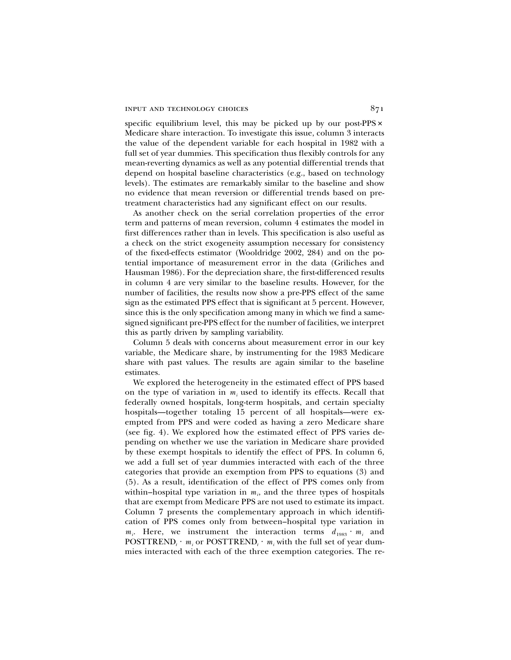specific equilibrium level, this may be picked up by our post-PPS $\times$ Medicare share interaction. To investigate this issue, column 3 interacts the value of the dependent variable for each hospital in 1982 with a full set of year dummies. This specification thus flexibly controls for any mean-reverting dynamics as well as any potential differential trends that depend on hospital baseline characteristics (e.g., based on technology levels). The estimates are remarkably similar to the baseline and show no evidence that mean reversion or differential trends based on pretreatment characteristics had any significant effect on our results.

As another check on the serial correlation properties of the error term and patterns of mean reversion, column 4 estimates the model in first differences rather than in levels. This specification is also useful as a check on the strict exogeneity assumption necessary for consistency of the fixed-effects estimator (Wooldridge 2002, 284) and on the potential importance of measurement error in the data (Griliches and Hausman 1986). For the depreciation share, the first-differenced results in column 4 are very similar to the baseline results. However, for the number of facilities, the results now show a pre-PPS effect of the same sign as the estimated PPS effect that is significant at 5 percent. However, since this is the only specification among many in which we find a samesigned significant pre-PPS effect for the number of facilities, we interpret this as partly driven by sampling variability.

Column 5 deals with concerns about measurement error in our key variable, the Medicare share, by instrumenting for the 1983 Medicare share with past values. The results are again similar to the baseline estimates.

We explored the heterogeneity in the estimated effect of PPS based on the type of variation in  $m<sub>i</sub>$  used to identify its effects. Recall that federally owned hospitals, long-term hospitals, and certain specialty hospitals—together totaling 15 percent of all hospitals—were exempted from PPS and were coded as having a zero Medicare share (see fig. 4). We explored how the estimated effect of PPS varies depending on whether we use the variation in Medicare share provided by these exempt hospitals to identify the effect of PPS. In column 6, we add a full set of year dummies interacted with each of the three categories that provide an exemption from PPS to equations (3) and (5). As a result, identification of the effect of PPS comes only from within–hospital type variation in  $m_i$ , and the three types of hospitals that are exempt from Medicare PPS are not used to estimate its impact. Column 7 presents the complementary approach in which identification of PPS comes only from between–hospital type variation in  $m_i$ . Here, we instrument the interaction terms  $d_{1983} \cdot m_i$  and POSTTREND<sub>t</sub>  $\cdot$   $m_i$  or POSTTREND<sub>t</sub>  $\cdot$   $m_i$  with the full set of year dummies interacted with each of the three exemption categories. The re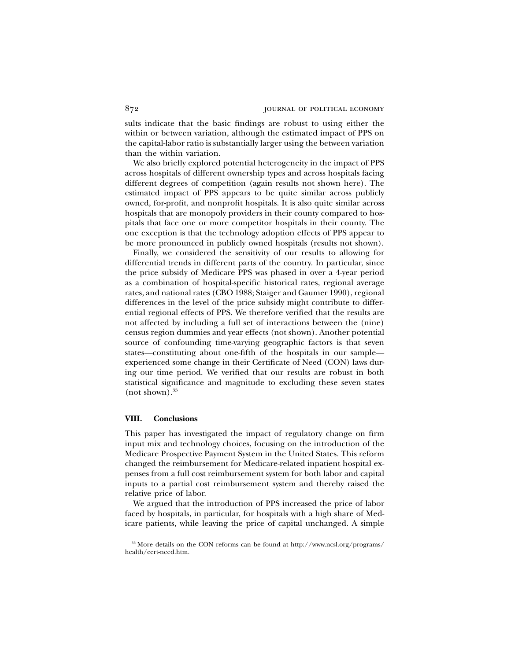sults indicate that the basic findings are robust to using either the within or between variation, although the estimated impact of PPS on the capital-labor ratio is substantially larger using the between variation than the within variation.

We also briefly explored potential heterogeneity in the impact of PPS across hospitals of different ownership types and across hospitals facing different degrees of competition (again results not shown here). The estimated impact of PPS appears to be quite similar across publicly owned, for-profit, and nonprofit hospitals. It is also quite similar across hospitals that are monopoly providers in their county compared to hospitals that face one or more competitor hospitals in their county. The one exception is that the technology adoption effects of PPS appear to be more pronounced in publicly owned hospitals (results not shown).

Finally, we considered the sensitivity of our results to allowing for differential trends in different parts of the country. In particular, since the price subsidy of Medicare PPS was phased in over a 4-year period as a combination of hospital-specific historical rates, regional average rates, and national rates (CBO 1988; Staiger and Gaumer 1990), regional differences in the level of the price subsidy might contribute to differential regional effects of PPS. We therefore verified that the results are not affected by including a full set of interactions between the (nine) census region dummies and year effects (not shown). Another potential source of confounding time-varying geographic factors is that seven states—constituting about one-fifth of the hospitals in our sample experienced some change in their Certificate of Need (CON) laws during our time period. We verified that our results are robust in both statistical significance and magnitude to excluding these seven states  $(not shown).$ <sup>33</sup>

### **VIII. Conclusions**

This paper has investigated the impact of regulatory change on firm input mix and technology choices, focusing on the introduction of the Medicare Prospective Payment System in the United States. This reform changed the reimbursement for Medicare-related inpatient hospital expenses from a full cost reimbursement system for both labor and capital inputs to a partial cost reimbursement system and thereby raised the relative price of labor.

We argued that the introduction of PPS increased the price of labor faced by hospitals, in particular, for hospitals with a high share of Medicare patients, while leaving the price of capital unchanged. A simple

<sup>33</sup> More details on the CON reforms can be found at http://www.ncsl.org/programs/ health/cert-need.htm.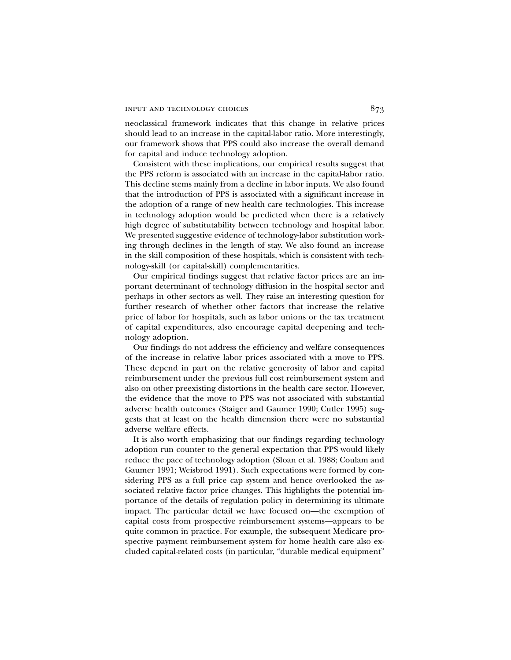neoclassical framework indicates that this change in relative prices should lead to an increase in the capital-labor ratio. More interestingly, our framework shows that PPS could also increase the overall demand for capital and induce technology adoption.

Consistent with these implications, our empirical results suggest that the PPS reform is associated with an increase in the capital-labor ratio. This decline stems mainly from a decline in labor inputs. We also found that the introduction of PPS is associated with a significant increase in the adoption of a range of new health care technologies. This increase in technology adoption would be predicted when there is a relatively high degree of substitutability between technology and hospital labor. We presented suggestive evidence of technology-labor substitution working through declines in the length of stay. We also found an increase in the skill composition of these hospitals, which is consistent with technology-skill (or capital-skill) complementarities.

Our empirical findings suggest that relative factor prices are an important determinant of technology diffusion in the hospital sector and perhaps in other sectors as well. They raise an interesting question for further research of whether other factors that increase the relative price of labor for hospitals, such as labor unions or the tax treatment of capital expenditures, also encourage capital deepening and technology adoption.

Our findings do not address the efficiency and welfare consequences of the increase in relative labor prices associated with a move to PPS. These depend in part on the relative generosity of labor and capital reimbursement under the previous full cost reimbursement system and also on other preexisting distortions in the health care sector. However, the evidence that the move to PPS was not associated with substantial adverse health outcomes (Staiger and Gaumer 1990; Cutler 1995) suggests that at least on the health dimension there were no substantial adverse welfare effects.

It is also worth emphasizing that our findings regarding technology adoption run counter to the general expectation that PPS would likely reduce the pace of technology adoption (Sloan et al. 1988; Coulam and Gaumer 1991; Weisbrod 1991). Such expectations were formed by considering PPS as a full price cap system and hence overlooked the associated relative factor price changes. This highlights the potential importance of the details of regulation policy in determining its ultimate impact. The particular detail we have focused on—the exemption of capital costs from prospective reimbursement systems—appears to be quite common in practice. For example, the subsequent Medicare prospective payment reimbursement system for home health care also excluded capital-related costs (in particular, "durable medical equipment"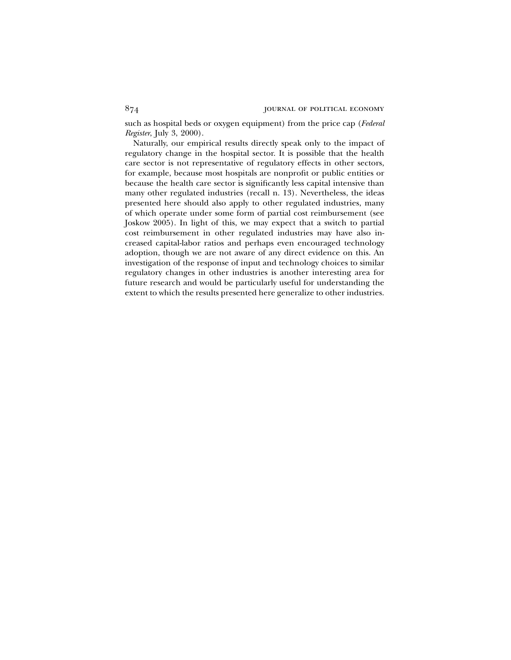such as hospital beds or oxygen equipment) from the price cap (*Federal Register*, July 3, 2000).

Naturally, our empirical results directly speak only to the impact of regulatory change in the hospital sector. It is possible that the health care sector is not representative of regulatory effects in other sectors, for example, because most hospitals are nonprofit or public entities or because the health care sector is significantly less capital intensive than many other regulated industries (recall n. 13). Nevertheless, the ideas presented here should also apply to other regulated industries, many of which operate under some form of partial cost reimbursement (see Joskow 2005). In light of this, we may expect that a switch to partial cost reimbursement in other regulated industries may have also increased capital-labor ratios and perhaps even encouraged technology adoption, though we are not aware of any direct evidence on this. An investigation of the response of input and technology choices to similar regulatory changes in other industries is another interesting area for future research and would be particularly useful for understanding the extent to which the results presented here generalize to other industries.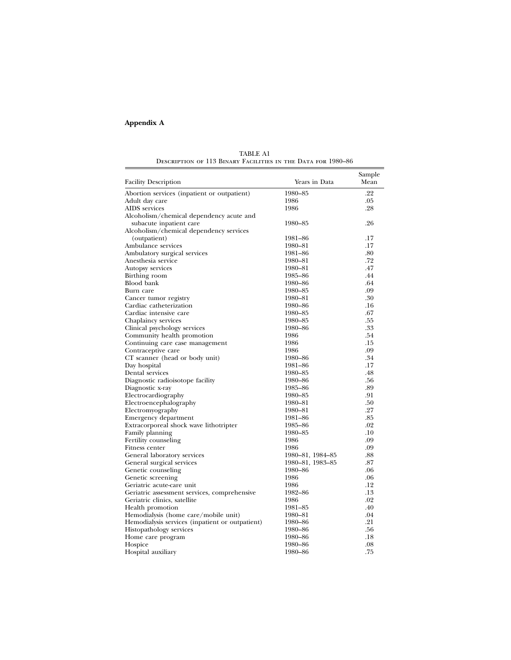# **Appendix A**

TABLE A1 Description of 113 Binary Facilities in the Data for 1980–86 Sample

| <b>Facility Description</b>                     | Years in Data    | Mean |
|-------------------------------------------------|------------------|------|
| Abortion services (inpatient or outpatient)     | 1980-85          | .22  |
| Adult day care                                  | 1986             | .05  |
| AIDS services                                   | 1986             | .28  |
| Alcoholism/chemical dependency acute and        |                  |      |
| subacute inpatient care                         | 1980-85          | .26  |
| Alcoholism/chemical dependency services         |                  |      |
| (outpatient)                                    | 1981-86          | .17  |
| Ambulance services                              | 1980-81          | .17  |
| Ambulatory surgical services                    | 1981–86          | .80  |
| Anesthesia service                              | 1980–81          | .72  |
| Autopsy services                                | 1980-81          | .47  |
| Birthing room                                   | 1985-86          | .44  |
| <b>Blood</b> bank                               | 1980-86          | .64  |
| Burn care                                       | 1980-85          | .09  |
| Cancer tumor registry                           | 1980-81          | .30  |
| Cardiac catheterization                         | 1980-86          | .16  |
| Cardiac intensive care                          | 1980-85          | .67  |
| Chaplaincy services                             | 1980-85          | .55  |
| Clinical psychology services                    | 1980–86          | .33  |
| Community health promotion                      | 1986             | .54  |
| Continuing care case management                 | 1986             | .15  |
| Contraceptive care                              | 1986             | .09  |
| CT scanner (head or body unit)                  | 1980–86          | .34  |
| Day hospital                                    | 1981–86          | .17  |
| Dental services                                 | 1980–85          | .48  |
| Diagnostic radioisotope facility                | 1980-86          | .56  |
| Diagnostic x-ray                                | 1985–86          | .89  |
| Electrocardiography                             | 1980-85          | .91  |
| Electroencephalography                          | 1980-81          | .50  |
| Electromyography                                | 1980-81          | .27  |
| Emergency department                            | 1981-86          | .85  |
| Extracorporeal shock wave lithotripter          | 1985–86          | .02  |
| Family planning                                 | 1980-85          | .10  |
| Fertility counseling                            | 1986             | .09  |
| Fitness center                                  | 1986             | .09  |
| General laboratory services                     | 1980-81, 1984-85 | .88  |
| General surgical services                       | 1980-81, 1983-85 | .87  |
| Genetic counseling                              | 1980–86          | .06  |
| Genetic screening                               | 1986             | .06  |
| Geriatric acute-care unit                       | 1986             | .12  |
| Geriatric assessment services, comprehensive    | 1982-86          | .13  |
| Geriatric clinics, satellite                    | 1986             | .02  |
| Health promotion                                | 1981–85          | .40  |
| Hemodialysis (home care/mobile unit)            | 1980-81          | .04  |
| Hemodialysis services (inpatient or outpatient) | 1980-86          | .21  |
| Histopathology services                         | 1980–86          | .56  |
| Home care program                               | 1980–86          | .18  |
| Hospice                                         | 1980–86          | .08  |
| Hospital auxiliary                              | 1980-86          | .75  |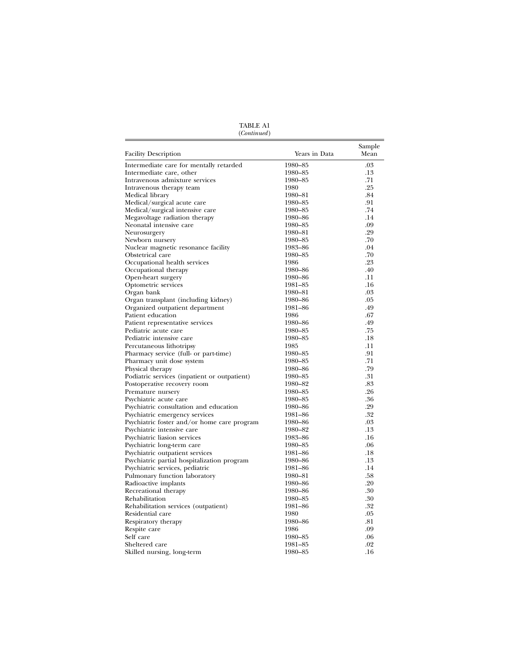TABLE A1 (*Continued*)

| <b>Facility Description</b><br>1980-85<br>.03<br>Intermediate care for mentally retarded<br>Intermediate care, other<br>1980-85<br>.13<br>.71<br>Intravenous admixture services<br>1980-85<br>.25<br>Intravenous therapy team<br>1980<br>1980-81<br>.84<br>Medical library<br>Medical/surgical acute care<br>.91<br>1980–85<br>Medical/surgical intensive care<br>.74<br>1980-85<br>Megavoltage radiation therapy<br>1980-86<br>.14<br>Neonatal intensive care<br>1980–85<br>.09<br>.29<br>Neurosurgery<br>1980–81<br>.70<br>1980-85<br>Newborn nursery<br>Nuclear magnetic resonance facility<br>1983–86<br>.04<br>Obstetrical care<br>1980-85<br>.70<br>.23<br>Occupational health services<br>1986<br>.40<br>Occupational therapy<br>1980–86<br>.11<br>Open-heart surgery<br>1980–86<br>Optometric services<br>1981–85<br>.16<br>Organ bank<br>1980-81<br>.03<br>Organ transplant (including kidney)<br>.05<br>1980–86<br>Organized outpatient department<br>.49<br>1981–86<br>.67<br>Patient education<br>1986<br>Patient representative services<br>1980–86<br>.49<br>.75<br>Pediatric acute care<br>1980–85<br>Pediatric intensive care<br>1980-85<br>.18<br>.11<br>Percutaneous lithotripsy<br>1985<br>Pharmacy service (full- or part-time)<br>1980-85<br>.91<br>.71<br>Pharmacy unit dose system<br>1980–85<br>.79<br>Physical therapy<br>1980-86<br>.31<br>Podiatric services (inpatient or outpatient)<br>1980-85<br>1980-82<br>.83<br>Postoperative recovery room<br>.26<br>1980-85<br>Premature nursery<br>1980-85<br>.36<br>Psychiatric acute care<br>.29<br>Psychiatric consultation and education<br>1980–86<br>Psychiatric emergency services<br>.32<br>1981–86<br>Psychiatric foster and/or home care program<br>.03<br>1980–86<br>.13<br>Psychiatric intensive care<br>1980-82<br>Psychiatric liasion services<br>1983–86<br>.16<br>Psychiatric long-term care<br>1980-85<br>.06<br>Psychiatric outpatient services<br>1981–86<br>.18<br>Psychiatric partial hospitalization program<br>1980-86<br>.13<br>Psychiatric services, pediatric<br>1981–86<br>.14<br>Pulmonary function laboratory<br>.58<br>1980-81<br>Radioactive implants<br>1980–86<br>.20<br>Recreational therapy<br>.30<br>1980–86<br>Rehabilitation<br>1980-85<br>.30<br>.32<br>Rehabilitation services (outpatient)<br>1981–86<br>Residential care<br>1980<br>.05<br>.81<br>Respiratory therapy<br>1980–86<br>Respite care<br>1986<br>.09 |           |               | Sample |
|--------------------------------------------------------------------------------------------------------------------------------------------------------------------------------------------------------------------------------------------------------------------------------------------------------------------------------------------------------------------------------------------------------------------------------------------------------------------------------------------------------------------------------------------------------------------------------------------------------------------------------------------------------------------------------------------------------------------------------------------------------------------------------------------------------------------------------------------------------------------------------------------------------------------------------------------------------------------------------------------------------------------------------------------------------------------------------------------------------------------------------------------------------------------------------------------------------------------------------------------------------------------------------------------------------------------------------------------------------------------------------------------------------------------------------------------------------------------------------------------------------------------------------------------------------------------------------------------------------------------------------------------------------------------------------------------------------------------------------------------------------------------------------------------------------------------------------------------------------------------------------------------------------------------------------------------------------------------------------------------------------------------------------------------------------------------------------------------------------------------------------------------------------------------------------------------------------------------------------------------------------------------------------------------------------------------------------------------------------------------------------------------------------------------------------|-----------|---------------|--------|
|                                                                                                                                                                                                                                                                                                                                                                                                                                                                                                                                                                                                                                                                                                                                                                                                                                                                                                                                                                                                                                                                                                                                                                                                                                                                                                                                                                                                                                                                                                                                                                                                                                                                                                                                                                                                                                                                                                                                                                                                                                                                                                                                                                                                                                                                                                                                                                                                                                |           | Years in Data | Mean   |
|                                                                                                                                                                                                                                                                                                                                                                                                                                                                                                                                                                                                                                                                                                                                                                                                                                                                                                                                                                                                                                                                                                                                                                                                                                                                                                                                                                                                                                                                                                                                                                                                                                                                                                                                                                                                                                                                                                                                                                                                                                                                                                                                                                                                                                                                                                                                                                                                                                |           |               |        |
|                                                                                                                                                                                                                                                                                                                                                                                                                                                                                                                                                                                                                                                                                                                                                                                                                                                                                                                                                                                                                                                                                                                                                                                                                                                                                                                                                                                                                                                                                                                                                                                                                                                                                                                                                                                                                                                                                                                                                                                                                                                                                                                                                                                                                                                                                                                                                                                                                                |           |               |        |
|                                                                                                                                                                                                                                                                                                                                                                                                                                                                                                                                                                                                                                                                                                                                                                                                                                                                                                                                                                                                                                                                                                                                                                                                                                                                                                                                                                                                                                                                                                                                                                                                                                                                                                                                                                                                                                                                                                                                                                                                                                                                                                                                                                                                                                                                                                                                                                                                                                |           |               |        |
|                                                                                                                                                                                                                                                                                                                                                                                                                                                                                                                                                                                                                                                                                                                                                                                                                                                                                                                                                                                                                                                                                                                                                                                                                                                                                                                                                                                                                                                                                                                                                                                                                                                                                                                                                                                                                                                                                                                                                                                                                                                                                                                                                                                                                                                                                                                                                                                                                                |           |               |        |
|                                                                                                                                                                                                                                                                                                                                                                                                                                                                                                                                                                                                                                                                                                                                                                                                                                                                                                                                                                                                                                                                                                                                                                                                                                                                                                                                                                                                                                                                                                                                                                                                                                                                                                                                                                                                                                                                                                                                                                                                                                                                                                                                                                                                                                                                                                                                                                                                                                |           |               |        |
|                                                                                                                                                                                                                                                                                                                                                                                                                                                                                                                                                                                                                                                                                                                                                                                                                                                                                                                                                                                                                                                                                                                                                                                                                                                                                                                                                                                                                                                                                                                                                                                                                                                                                                                                                                                                                                                                                                                                                                                                                                                                                                                                                                                                                                                                                                                                                                                                                                |           |               |        |
|                                                                                                                                                                                                                                                                                                                                                                                                                                                                                                                                                                                                                                                                                                                                                                                                                                                                                                                                                                                                                                                                                                                                                                                                                                                                                                                                                                                                                                                                                                                                                                                                                                                                                                                                                                                                                                                                                                                                                                                                                                                                                                                                                                                                                                                                                                                                                                                                                                |           |               |        |
|                                                                                                                                                                                                                                                                                                                                                                                                                                                                                                                                                                                                                                                                                                                                                                                                                                                                                                                                                                                                                                                                                                                                                                                                                                                                                                                                                                                                                                                                                                                                                                                                                                                                                                                                                                                                                                                                                                                                                                                                                                                                                                                                                                                                                                                                                                                                                                                                                                |           |               |        |
|                                                                                                                                                                                                                                                                                                                                                                                                                                                                                                                                                                                                                                                                                                                                                                                                                                                                                                                                                                                                                                                                                                                                                                                                                                                                                                                                                                                                                                                                                                                                                                                                                                                                                                                                                                                                                                                                                                                                                                                                                                                                                                                                                                                                                                                                                                                                                                                                                                |           |               |        |
|                                                                                                                                                                                                                                                                                                                                                                                                                                                                                                                                                                                                                                                                                                                                                                                                                                                                                                                                                                                                                                                                                                                                                                                                                                                                                                                                                                                                                                                                                                                                                                                                                                                                                                                                                                                                                                                                                                                                                                                                                                                                                                                                                                                                                                                                                                                                                                                                                                |           |               |        |
|                                                                                                                                                                                                                                                                                                                                                                                                                                                                                                                                                                                                                                                                                                                                                                                                                                                                                                                                                                                                                                                                                                                                                                                                                                                                                                                                                                                                                                                                                                                                                                                                                                                                                                                                                                                                                                                                                                                                                                                                                                                                                                                                                                                                                                                                                                                                                                                                                                |           |               |        |
|                                                                                                                                                                                                                                                                                                                                                                                                                                                                                                                                                                                                                                                                                                                                                                                                                                                                                                                                                                                                                                                                                                                                                                                                                                                                                                                                                                                                                                                                                                                                                                                                                                                                                                                                                                                                                                                                                                                                                                                                                                                                                                                                                                                                                                                                                                                                                                                                                                |           |               |        |
|                                                                                                                                                                                                                                                                                                                                                                                                                                                                                                                                                                                                                                                                                                                                                                                                                                                                                                                                                                                                                                                                                                                                                                                                                                                                                                                                                                                                                                                                                                                                                                                                                                                                                                                                                                                                                                                                                                                                                                                                                                                                                                                                                                                                                                                                                                                                                                                                                                |           |               |        |
|                                                                                                                                                                                                                                                                                                                                                                                                                                                                                                                                                                                                                                                                                                                                                                                                                                                                                                                                                                                                                                                                                                                                                                                                                                                                                                                                                                                                                                                                                                                                                                                                                                                                                                                                                                                                                                                                                                                                                                                                                                                                                                                                                                                                                                                                                                                                                                                                                                |           |               |        |
|                                                                                                                                                                                                                                                                                                                                                                                                                                                                                                                                                                                                                                                                                                                                                                                                                                                                                                                                                                                                                                                                                                                                                                                                                                                                                                                                                                                                                                                                                                                                                                                                                                                                                                                                                                                                                                                                                                                                                                                                                                                                                                                                                                                                                                                                                                                                                                                                                                |           |               |        |
|                                                                                                                                                                                                                                                                                                                                                                                                                                                                                                                                                                                                                                                                                                                                                                                                                                                                                                                                                                                                                                                                                                                                                                                                                                                                                                                                                                                                                                                                                                                                                                                                                                                                                                                                                                                                                                                                                                                                                                                                                                                                                                                                                                                                                                                                                                                                                                                                                                |           |               |        |
|                                                                                                                                                                                                                                                                                                                                                                                                                                                                                                                                                                                                                                                                                                                                                                                                                                                                                                                                                                                                                                                                                                                                                                                                                                                                                                                                                                                                                                                                                                                                                                                                                                                                                                                                                                                                                                                                                                                                                                                                                                                                                                                                                                                                                                                                                                                                                                                                                                |           |               |        |
|                                                                                                                                                                                                                                                                                                                                                                                                                                                                                                                                                                                                                                                                                                                                                                                                                                                                                                                                                                                                                                                                                                                                                                                                                                                                                                                                                                                                                                                                                                                                                                                                                                                                                                                                                                                                                                                                                                                                                                                                                                                                                                                                                                                                                                                                                                                                                                                                                                |           |               |        |
|                                                                                                                                                                                                                                                                                                                                                                                                                                                                                                                                                                                                                                                                                                                                                                                                                                                                                                                                                                                                                                                                                                                                                                                                                                                                                                                                                                                                                                                                                                                                                                                                                                                                                                                                                                                                                                                                                                                                                                                                                                                                                                                                                                                                                                                                                                                                                                                                                                |           |               |        |
|                                                                                                                                                                                                                                                                                                                                                                                                                                                                                                                                                                                                                                                                                                                                                                                                                                                                                                                                                                                                                                                                                                                                                                                                                                                                                                                                                                                                                                                                                                                                                                                                                                                                                                                                                                                                                                                                                                                                                                                                                                                                                                                                                                                                                                                                                                                                                                                                                                |           |               |        |
|                                                                                                                                                                                                                                                                                                                                                                                                                                                                                                                                                                                                                                                                                                                                                                                                                                                                                                                                                                                                                                                                                                                                                                                                                                                                                                                                                                                                                                                                                                                                                                                                                                                                                                                                                                                                                                                                                                                                                                                                                                                                                                                                                                                                                                                                                                                                                                                                                                |           |               |        |
|                                                                                                                                                                                                                                                                                                                                                                                                                                                                                                                                                                                                                                                                                                                                                                                                                                                                                                                                                                                                                                                                                                                                                                                                                                                                                                                                                                                                                                                                                                                                                                                                                                                                                                                                                                                                                                                                                                                                                                                                                                                                                                                                                                                                                                                                                                                                                                                                                                |           |               |        |
|                                                                                                                                                                                                                                                                                                                                                                                                                                                                                                                                                                                                                                                                                                                                                                                                                                                                                                                                                                                                                                                                                                                                                                                                                                                                                                                                                                                                                                                                                                                                                                                                                                                                                                                                                                                                                                                                                                                                                                                                                                                                                                                                                                                                                                                                                                                                                                                                                                |           |               |        |
|                                                                                                                                                                                                                                                                                                                                                                                                                                                                                                                                                                                                                                                                                                                                                                                                                                                                                                                                                                                                                                                                                                                                                                                                                                                                                                                                                                                                                                                                                                                                                                                                                                                                                                                                                                                                                                                                                                                                                                                                                                                                                                                                                                                                                                                                                                                                                                                                                                |           |               |        |
|                                                                                                                                                                                                                                                                                                                                                                                                                                                                                                                                                                                                                                                                                                                                                                                                                                                                                                                                                                                                                                                                                                                                                                                                                                                                                                                                                                                                                                                                                                                                                                                                                                                                                                                                                                                                                                                                                                                                                                                                                                                                                                                                                                                                                                                                                                                                                                                                                                |           |               |        |
|                                                                                                                                                                                                                                                                                                                                                                                                                                                                                                                                                                                                                                                                                                                                                                                                                                                                                                                                                                                                                                                                                                                                                                                                                                                                                                                                                                                                                                                                                                                                                                                                                                                                                                                                                                                                                                                                                                                                                                                                                                                                                                                                                                                                                                                                                                                                                                                                                                |           |               |        |
|                                                                                                                                                                                                                                                                                                                                                                                                                                                                                                                                                                                                                                                                                                                                                                                                                                                                                                                                                                                                                                                                                                                                                                                                                                                                                                                                                                                                                                                                                                                                                                                                                                                                                                                                                                                                                                                                                                                                                                                                                                                                                                                                                                                                                                                                                                                                                                                                                                |           |               |        |
|                                                                                                                                                                                                                                                                                                                                                                                                                                                                                                                                                                                                                                                                                                                                                                                                                                                                                                                                                                                                                                                                                                                                                                                                                                                                                                                                                                                                                                                                                                                                                                                                                                                                                                                                                                                                                                                                                                                                                                                                                                                                                                                                                                                                                                                                                                                                                                                                                                |           |               |        |
|                                                                                                                                                                                                                                                                                                                                                                                                                                                                                                                                                                                                                                                                                                                                                                                                                                                                                                                                                                                                                                                                                                                                                                                                                                                                                                                                                                                                                                                                                                                                                                                                                                                                                                                                                                                                                                                                                                                                                                                                                                                                                                                                                                                                                                                                                                                                                                                                                                |           |               |        |
|                                                                                                                                                                                                                                                                                                                                                                                                                                                                                                                                                                                                                                                                                                                                                                                                                                                                                                                                                                                                                                                                                                                                                                                                                                                                                                                                                                                                                                                                                                                                                                                                                                                                                                                                                                                                                                                                                                                                                                                                                                                                                                                                                                                                                                                                                                                                                                                                                                |           |               |        |
|                                                                                                                                                                                                                                                                                                                                                                                                                                                                                                                                                                                                                                                                                                                                                                                                                                                                                                                                                                                                                                                                                                                                                                                                                                                                                                                                                                                                                                                                                                                                                                                                                                                                                                                                                                                                                                                                                                                                                                                                                                                                                                                                                                                                                                                                                                                                                                                                                                |           |               |        |
|                                                                                                                                                                                                                                                                                                                                                                                                                                                                                                                                                                                                                                                                                                                                                                                                                                                                                                                                                                                                                                                                                                                                                                                                                                                                                                                                                                                                                                                                                                                                                                                                                                                                                                                                                                                                                                                                                                                                                                                                                                                                                                                                                                                                                                                                                                                                                                                                                                |           |               |        |
|                                                                                                                                                                                                                                                                                                                                                                                                                                                                                                                                                                                                                                                                                                                                                                                                                                                                                                                                                                                                                                                                                                                                                                                                                                                                                                                                                                                                                                                                                                                                                                                                                                                                                                                                                                                                                                                                                                                                                                                                                                                                                                                                                                                                                                                                                                                                                                                                                                |           |               |        |
|                                                                                                                                                                                                                                                                                                                                                                                                                                                                                                                                                                                                                                                                                                                                                                                                                                                                                                                                                                                                                                                                                                                                                                                                                                                                                                                                                                                                                                                                                                                                                                                                                                                                                                                                                                                                                                                                                                                                                                                                                                                                                                                                                                                                                                                                                                                                                                                                                                |           |               |        |
|                                                                                                                                                                                                                                                                                                                                                                                                                                                                                                                                                                                                                                                                                                                                                                                                                                                                                                                                                                                                                                                                                                                                                                                                                                                                                                                                                                                                                                                                                                                                                                                                                                                                                                                                                                                                                                                                                                                                                                                                                                                                                                                                                                                                                                                                                                                                                                                                                                |           |               |        |
|                                                                                                                                                                                                                                                                                                                                                                                                                                                                                                                                                                                                                                                                                                                                                                                                                                                                                                                                                                                                                                                                                                                                                                                                                                                                                                                                                                                                                                                                                                                                                                                                                                                                                                                                                                                                                                                                                                                                                                                                                                                                                                                                                                                                                                                                                                                                                                                                                                |           |               |        |
|                                                                                                                                                                                                                                                                                                                                                                                                                                                                                                                                                                                                                                                                                                                                                                                                                                                                                                                                                                                                                                                                                                                                                                                                                                                                                                                                                                                                                                                                                                                                                                                                                                                                                                                                                                                                                                                                                                                                                                                                                                                                                                                                                                                                                                                                                                                                                                                                                                |           |               |        |
|                                                                                                                                                                                                                                                                                                                                                                                                                                                                                                                                                                                                                                                                                                                                                                                                                                                                                                                                                                                                                                                                                                                                                                                                                                                                                                                                                                                                                                                                                                                                                                                                                                                                                                                                                                                                                                                                                                                                                                                                                                                                                                                                                                                                                                                                                                                                                                                                                                |           |               |        |
|                                                                                                                                                                                                                                                                                                                                                                                                                                                                                                                                                                                                                                                                                                                                                                                                                                                                                                                                                                                                                                                                                                                                                                                                                                                                                                                                                                                                                                                                                                                                                                                                                                                                                                                                                                                                                                                                                                                                                                                                                                                                                                                                                                                                                                                                                                                                                                                                                                |           |               |        |
|                                                                                                                                                                                                                                                                                                                                                                                                                                                                                                                                                                                                                                                                                                                                                                                                                                                                                                                                                                                                                                                                                                                                                                                                                                                                                                                                                                                                                                                                                                                                                                                                                                                                                                                                                                                                                                                                                                                                                                                                                                                                                                                                                                                                                                                                                                                                                                                                                                |           |               |        |
|                                                                                                                                                                                                                                                                                                                                                                                                                                                                                                                                                                                                                                                                                                                                                                                                                                                                                                                                                                                                                                                                                                                                                                                                                                                                                                                                                                                                                                                                                                                                                                                                                                                                                                                                                                                                                                                                                                                                                                                                                                                                                                                                                                                                                                                                                                                                                                                                                                |           |               |        |
|                                                                                                                                                                                                                                                                                                                                                                                                                                                                                                                                                                                                                                                                                                                                                                                                                                                                                                                                                                                                                                                                                                                                                                                                                                                                                                                                                                                                                                                                                                                                                                                                                                                                                                                                                                                                                                                                                                                                                                                                                                                                                                                                                                                                                                                                                                                                                                                                                                |           |               |        |
|                                                                                                                                                                                                                                                                                                                                                                                                                                                                                                                                                                                                                                                                                                                                                                                                                                                                                                                                                                                                                                                                                                                                                                                                                                                                                                                                                                                                                                                                                                                                                                                                                                                                                                                                                                                                                                                                                                                                                                                                                                                                                                                                                                                                                                                                                                                                                                                                                                |           |               |        |
|                                                                                                                                                                                                                                                                                                                                                                                                                                                                                                                                                                                                                                                                                                                                                                                                                                                                                                                                                                                                                                                                                                                                                                                                                                                                                                                                                                                                                                                                                                                                                                                                                                                                                                                                                                                                                                                                                                                                                                                                                                                                                                                                                                                                                                                                                                                                                                                                                                |           |               |        |
|                                                                                                                                                                                                                                                                                                                                                                                                                                                                                                                                                                                                                                                                                                                                                                                                                                                                                                                                                                                                                                                                                                                                                                                                                                                                                                                                                                                                                                                                                                                                                                                                                                                                                                                                                                                                                                                                                                                                                                                                                                                                                                                                                                                                                                                                                                                                                                                                                                |           |               |        |
|                                                                                                                                                                                                                                                                                                                                                                                                                                                                                                                                                                                                                                                                                                                                                                                                                                                                                                                                                                                                                                                                                                                                                                                                                                                                                                                                                                                                                                                                                                                                                                                                                                                                                                                                                                                                                                                                                                                                                                                                                                                                                                                                                                                                                                                                                                                                                                                                                                |           |               |        |
|                                                                                                                                                                                                                                                                                                                                                                                                                                                                                                                                                                                                                                                                                                                                                                                                                                                                                                                                                                                                                                                                                                                                                                                                                                                                                                                                                                                                                                                                                                                                                                                                                                                                                                                                                                                                                                                                                                                                                                                                                                                                                                                                                                                                                                                                                                                                                                                                                                |           |               |        |
|                                                                                                                                                                                                                                                                                                                                                                                                                                                                                                                                                                                                                                                                                                                                                                                                                                                                                                                                                                                                                                                                                                                                                                                                                                                                                                                                                                                                                                                                                                                                                                                                                                                                                                                                                                                                                                                                                                                                                                                                                                                                                                                                                                                                                                                                                                                                                                                                                                |           |               |        |
|                                                                                                                                                                                                                                                                                                                                                                                                                                                                                                                                                                                                                                                                                                                                                                                                                                                                                                                                                                                                                                                                                                                                                                                                                                                                                                                                                                                                                                                                                                                                                                                                                                                                                                                                                                                                                                                                                                                                                                                                                                                                                                                                                                                                                                                                                                                                                                                                                                |           |               |        |
| 1980-85<br>.06                                                                                                                                                                                                                                                                                                                                                                                                                                                                                                                                                                                                                                                                                                                                                                                                                                                                                                                                                                                                                                                                                                                                                                                                                                                                                                                                                                                                                                                                                                                                                                                                                                                                                                                                                                                                                                                                                                                                                                                                                                                                                                                                                                                                                                                                                                                                                                                                                 | Self care |               |        |
| Sheltered care<br>1981–85<br>.02                                                                                                                                                                                                                                                                                                                                                                                                                                                                                                                                                                                                                                                                                                                                                                                                                                                                                                                                                                                                                                                                                                                                                                                                                                                                                                                                                                                                                                                                                                                                                                                                                                                                                                                                                                                                                                                                                                                                                                                                                                                                                                                                                                                                                                                                                                                                                                                               |           |               |        |
| Skilled nursing, long-term<br>1980-85<br>.16                                                                                                                                                                                                                                                                                                                                                                                                                                                                                                                                                                                                                                                                                                                                                                                                                                                                                                                                                                                                                                                                                                                                                                                                                                                                                                                                                                                                                                                                                                                                                                                                                                                                                                                                                                                                                                                                                                                                                                                                                                                                                                                                                                                                                                                                                                                                                                                   |           |               |        |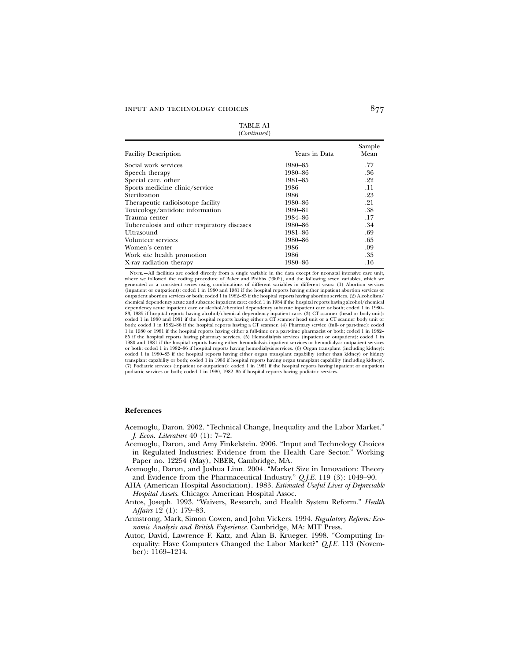#### INPUT AND TECHNOLOGY CHOICES 877

# TABLE A1

(*Continued*)

| <b>Facility Description</b>                 | Years in Data | Sample<br>Mean |
|---------------------------------------------|---------------|----------------|
| Social work services                        | 1980-85       | .77            |
| Speech therapy                              | 1980-86       | .36            |
| Special care, other                         | 1981-85       | .22            |
| Sports medicine clinic/service              | 1986          | .11            |
| Sterilization                               | 1986          | .23            |
| Therapeutic radioisotope facility           | 1980-86       | .21            |
| Toxicology/antidote information             | 1980-81       | .38            |
| Trauma center                               | 1984-86       | .17            |
| Tuberculosis and other respiratory diseases | 1980-86       | .34            |
| Ultrasound                                  | 1981-86       | .69            |
| Volunteer services                          | 1980-86       | .65            |
| Women's center                              | 1986          | .09            |
| Work site health promotion                  | 1986          | .35            |
| X-ray radiation therapy                     | 1980-86       | .16            |

Note.—All facilities are coded directly from a single variable in the data except for neonatal intensive care unit, where we followed the coding procedure of Baker and Phibbs (2002), and the following seven variables, which we generated as a consistent series using combinations of different variables in different years: (1) Abortion services<br>(inpatient or outpatient): coded 1 in 1980 and 1981 if the hospital reports having either inpatient abort outpatient abortion services or both; coded 1 in 1982–85 if the hospital reports having abortion services. (2) Alcoholism/<br>chemical dependency acute and subacute inpatient care: coded 1 in 1984 if the hospital reports havi 83, 1985 if hospital reports having alcohol/chemical dependency inpatient care. (3) CT scanner (head or body unit): coded 1 in 1980 and 1981 if the hospital reports having either a CT scanner head unit or a CT scanner body unit or<br>both; coded 1 in 1982–86 if the hospital reports having a CT scanner. (4) Pharmacy service (full- or part-t 1 in 1980 or 1981 if the hospital reports having either a full-time or a part-time pharmacist or both; coded 1 in 1982–<br>85 if the hospital reports having pharmacy services. (5) Hemodialysis services (inpatient or outpatien 1980 and 1981 if the hospital reports having either hemodialysis inpatient services or hemodialysis outpatient services or both; coded 1 in 1982–86 if hospital reports having hemodialysis services. (6) Organ transplant (including kidney):<br>coded 1 in 1980–85 if the hospital reports having either organ transplant capability (other than kidney transplant capability or both; coded 1 in 1986 if hospital reports having organ transplant capability (including kidney).<br>(7) Podiatric services (inpatient or outpatient): coded 1 in 1981 if the hospital reports having inp

#### **References**

Acemoglu, Daron. 2002. "Technical Change, Inequality and the Labor Market." *J. Econ. Literature* 40 (1): 7–72.

- Acemoglu, Daron, and Amy Finkelstein. 2006. "Input and Technology Choices in Regulated Industries: Evidence from the Health Care Sector." Working Paper no. 12254 (May), NBER, Cambridge, MA.
- Acemoglu, Daron, and Joshua Linn. 2004. "Market Size in Innovation: Theory and Evidence from the Pharmaceutical Industry." *Q.J.E.* 119 (3): 1049–90.
- AHA (American Hospital Association). 1983. *Estimated Useful Lives of Depreciable Hospital Assets*. Chicago: American Hospital Assoc.
- Antos, Joseph. 1993. "Waivers, Research, and Health System Reform." *Health Affairs* 12 (1): 179–83.
- Armstrong, Mark, Simon Cowen, and John Vickers. 1994. *Regulatory Reform: Economic Analysis and British Experience*. Cambridge, MA: MIT Press.
- Autor, David, Lawrence F. Katz, and Alan B. Krueger. 1998. "Computing Inequality: Have Computers Changed the Labor Market?" *Q.J.E.* 113 (November): 1169–1214.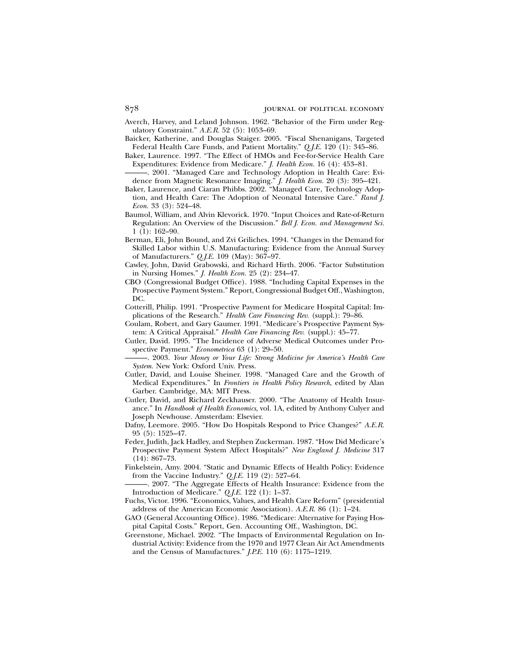Averch, Harvey, and Leland Johnson. 1962. "Behavior of the Firm under Regulatory Constraint." *A.E.R.* 52 (5): 1053–69.

Baicker, Katherine, and Douglas Staiger. 2005. "Fiscal Shenanigans, Targeted Federal Health Care Funds, and Patient Mortality." *Q.J.E.* 120 (1): 345–86.

Baker, Laurence. 1997. "The Effect of HMOs and Fee-for-Service Health Care Expenditures: Evidence from Medicare." *J. Health Econ.* 16 (4): 453–81.

. 2001. "Managed Care and Technology Adoption in Health Care: Evidence from Magnetic Resonance Imaging." *J. Health Econ.* 20 (3): 395–421.

- Baker, Laurence, and Ciaran Phibbs. 2002. "Managed Care, Technology Adoption, and Health Care: The Adoption of Neonatal Intensive Care." *Rand J. Econ.* 33 (3): 524–48.
- Baumol, William, and Alvin Klevorick. 1970. "Input Choices and Rate-of-Return Regulation: An Overview of the Discussion." *Bell J. Econ. and Management Sci.* 1 (1): 162–90.
- Berman, Eli, John Bound, and Zvi Griliches. 1994. "Changes in the Demand for Skilled Labor within U.S. Manufacturing: Evidence from the Annual Survey of Manufacturers." *Q.J.E.* 109 (May): 367–97.
- Cawley, John, David Grabowski, and Richard Hirth. 2006. "Factor Substitution in Nursing Homes." *J. Health Econ.* 25 (2): 234–47.
- CBO (Congressional Budget Office). 1988. "Including Capital Expenses in the Prospective Payment System." Report, Congressional Budget Off., Washington, DC.
- Cotterill, Philip. 1991. "Prospective Payment for Medicare Hospital Capital: Implications of the Research." *Health Care Financing Rev.* (suppl.): 79–86.
- Coulam, Robert, and Gary Gaumer. 1991. "Medicare's Prospective Payment System: A Critical Appraisal." *Health Care Financing Rev.* (suppl.): 45–77.
- Cutler, David. 1995. "The Incidence of Adverse Medical Outcomes under Prospective Payment." *Econometrica* 63 (1): 29–50.
- ———. 2003. *Your Money or Your Life: Strong Medicine for America's Health Care System.* New York: Oxford Univ. Press.
- Cutler, David, and Louise Sheiner. 1998. "Managed Care and the Growth of Medical Expenditures." In *Frontiers in Health Policy Research*, edited by Alan Garber. Cambridge, MA: MIT Press.
- Cutler, David, and Richard Zeckhauser. 2000. "The Anatomy of Health Insurance." In *Handbook of Health Economics*, vol. 1A, edited by Anthony Culyer and Joseph Newhouse. Amsterdam: Elsevier.
- Dafny, Leemore. 2005. "How Do Hospitals Respond to Price Changes?" *A.E.R.* 95 (5): 1525–47.
- Feder, Judith, Jack Hadley, and Stephen Zuckerman. 1987. "How Did Medicare's Prospective Payment System Affect Hospitals?" *New England J. Medicine* 317  $(14): 867 - 73.$
- Finkelstein, Amy. 2004. "Static and Dynamic Effects of Health Policy: Evidence from the Vaccine Industry." *Q.J.E.* 119 (2): 527–64.
- -. 2007. "The Aggregate Effects of Health Insurance: Evidence from the Introduction of Medicare." *Q.J.E.* 122 (1): 1–37.
- Fuchs, Victor. 1996. "Economics, Values, and Health Care Reform" (presidential address of the American Economic Association). *A.E.R.* 86 (1): 1–24.
- GAO (General Accounting Office). 1986. "Medicare: Alternative for Paying Hospital Capital Costs." Report, Gen. Accounting Off., Washington, DC.
- Greenstone, Michael. 2002. "The Impacts of Environmental Regulation on Industrial Activity: Evidence from the 1970 and 1977 Clean Air Act Amendments and the Census of Manufactures." *J.P.E.* 110 (6): 1175–1219.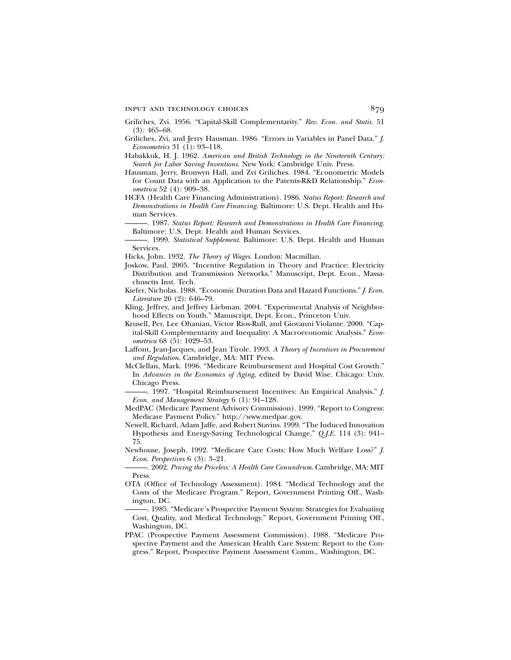- Griliches, Zvi. 1956. "Capital-Skill Complementarity." *Rev. Econ. and Statis.* 51  $(3): 465 - 68.$
- Griliches, Zvi, and Jerry Hausman. 1986. "Errors in Variables in Panel Data." *J. Econometrics* 31 (1): 93–118.
- Habakkuk, H. J. 1962. *American and British Technology in the Nineteenth Century: Search for Labor Saving Inventions*. New York: Cambridge Univ. Press.
- Hausman, Jerry, Bronwyn Hall, and Zvi Griliches. 1984. "Econometric Models for Count Data with an Application to the Patents-R&D Relationship." *Econometrica* 52 (4): 909–38.
- HCFA (Health Care Financing Administration). 1986. *Status Report: Research and Demonstrations in Health Care Financing*. Baltimore: U.S. Dept. Health and Human Services.
- ———. 1987. *Status Report: Research and Demonstrations in Health Care Financing*. Baltimore: U.S. Dept. Health and Human Services.
- ———. 1999. *Statistical Supplement*. Baltimore: U.S. Dept. Health and Human Services.
- Hicks, John. 1932. *The Theory of Wages*. London: Macmillan.
- Joskow, Paul. 2005. "Incentive Regulation in Theory and Practice: Electricity Distribution and Transmission Networks." Manuscript, Dept. Econ., Massachusetts Inst. Tech.
- Kiefer, Nicholas. 1988. "Economic Duration Data and Hazard Functions." *J. Econ. Literature* 26 (2): 646–79.
- Kling, Jeffrey, and Jeffrey Liebman. 2004. "Experimental Analysis of Neighborhood Effects on Youth." Manuscript, Dept. Econ., Princeton Univ.
- Krusell, Per, Lee Ohanian, Victor Rios-Rull, and Giovanni Violante. 2000. "Capital-Skill Complementarity and Inequality: A Macroeconomic Analysis." *Econometrica* 68 (5): 1029–53.
- Laffont, Jean-Jacques, and Jean Tirole. 1993. *A Theory of Incentives in Procurement and Regulation*. Cambridge, MA: MIT Press.
- McClellan, Mark. 1996. "Medicare Reimbursement and Hospital Cost Growth." In *Advances in the Economics of Aging*, edited by David Wise. Chicago: Univ. Chicago Press.
- ———. 1997. "Hospital Reimbursement Incentives: An Empirical Analysis." *J. Econ. and Management Strategy* 6 (1): 91–128.
- MedPAC (Medicare Payment Advisory Commission). 1999. "Report to Congress: Medicare Payment Policy." http://www.medpac.gov.
- Newell, Richard, Adam Jaffe, and Robert Stavins. 1999. "The Induced Innovation Hypothesis and Energy-Saving Technological Change." *Q.J.E.* 114 (3): 941– 75.
- Newhouse, Joseph. 1992. "Medicare Care Costs: How Much Welfare Loss?" *J. Econ. Perspectives* 6 (3): 3–21.
- ———. 2002. *Pricing the Priceless: A Health Care Conundrum*. Cambridge, MA: MIT Press.
- OTA (Office of Technology Assessment). 1984. "Medical Technology and the Costs of the Medicare Program." Report, Government Printing Off., Washington, DC.
- -. 1985. "Medicare's Prospective Payment System: Strategies for Evaluating Cost, Quality, and Medical Technology." Report, Government Printing Off., Washington, DC.
- PPAC (Prospective Payment Assessment Commission). 1988. "Medicare Prospective Payment and the American Health Care System: Report to the Congress." Report, Prospective Payment Assessment Comm., Washington, DC.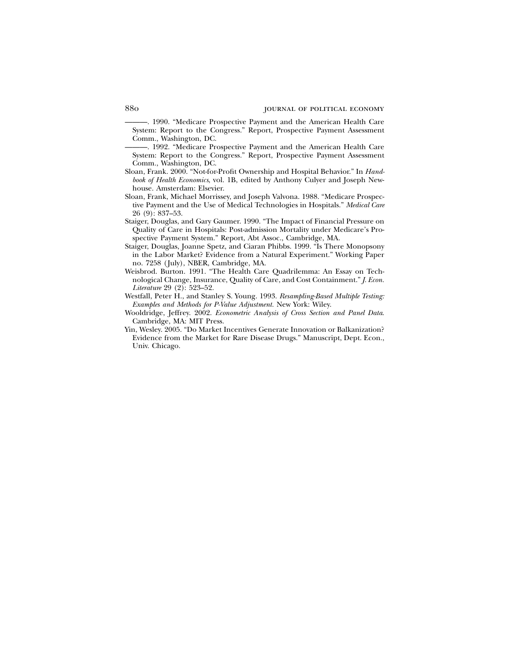-. 1990. "Medicare Prospective Payment and the American Health Care System: Report to the Congress." Report, Prospective Payment Assessment Comm., Washington, DC.

-. 1992. "Medicare Prospective Payment and the American Health Care System: Report to the Congress." Report, Prospective Payment Assessment Comm., Washington, DC.

- Sloan, Frank. 2000. "Not-for-Profit Ownership and Hospital Behavior." In *Handbook of Health Economics*, vol. 1B, edited by Anthony Culyer and Joseph Newhouse. Amsterdam: Elsevier.
- Sloan, Frank, Michael Morrissey, and Joseph Valvona. 1988. "Medicare Prospective Payment and the Use of Medical Technologies in Hospitals." *Medical Care* 26 (9): 837–53.
- Staiger, Douglas, and Gary Gaumer. 1990. "The Impact of Financial Pressure on Quality of Care in Hospitals: Post-admission Mortality under Medicare's Prospective Payment System." Report, Abt Assoc., Cambridge, MA.
- Staiger, Douglas, Joanne Spetz, and Ciaran Phibbs. 1999. "Is There Monopsony in the Labor Market? Evidence from a Natural Experiment." Working Paper no. 7258 (July), NBER, Cambridge, MA.
- Weisbrod. Burton. 1991. "The Health Care Quadrilemma: An Essay on Technological Change, Insurance, Quality of Care, and Cost Containment." *J. Econ. Literature* 29 (2): 523–52.
- Westfall, Peter H., and Stanley S. Young. 1993. *Resampling-Based Multiple Testing: Examples and Methods for P-Value Adjustment.* New York: Wiley.
- Wooldridge, Jeffrey. 2002. *Econometric Analysis of Cross Section and Panel Data*. Cambridge, MA: MIT Press.
- Yin, Wesley. 2005. "Do Market Incentives Generate Innovation or Balkanization? Evidence from the Market for Rare Disease Drugs." Manuscript, Dept. Econ., Univ. Chicago.